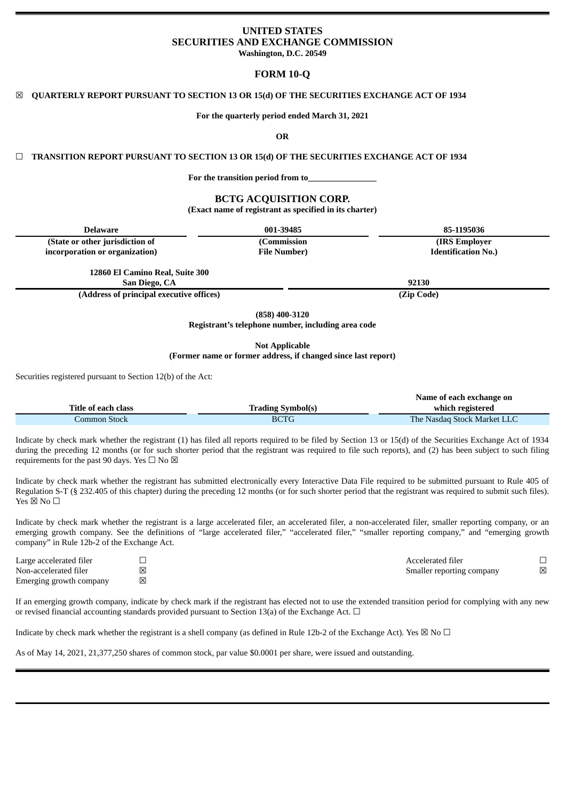# **UNITED STATES SECURITIES AND EXCHANGE COMMISSION**

**Washington, D.C. 20549**

## **FORM 10-Q**

## ☒ **QUARTERLY REPORT PURSUANT TO SECTION 13 OR 15(d) OF THE SECURITIES EXCHANGE ACT OF 1934**

**For the quarterly period ended March 31, 2021**

**OR**

## ☐ **TRANSITION REPORT PURSUANT TO SECTION 13 OR 15(d) OF THE SECURITIES EXCHANGE ACT OF 1934**

**For the transition period from to\_\_\_\_\_\_\_\_\_\_\_\_\_\_\_\_**

# **BCTG ACQUISITION CORP.**

**(Exact name of registrant as specified in its charter)**

| <b>Delaware</b>                                  | 001-39485                                                              | 85-1195036                 |
|--------------------------------------------------|------------------------------------------------------------------------|----------------------------|
| (State or other jurisdiction of                  | (Commission                                                            | (IRS Employer)             |
| incorporation or organization)                   | <b>File Number</b> )                                                   | <b>Identification No.)</b> |
| 12860 El Camino Real, Suite 300<br>San Diego, CA |                                                                        | 92130                      |
| (Address of principal executive offices)         |                                                                        | (Zip Code)                 |
|                                                  | $(858)$ 400-3120<br>Registrant's telephone number, including area code |                            |

**Not Applicable**

## **(Former name or former address, if changed since last report)**

Securities registered pursuant to Section 12(b) of the Act:

|                     |                          | Name of each exchange on    |
|---------------------|--------------------------|-----------------------------|
| Title of each class | <b>Trading Symbol(s)</b> | which registered            |
| Common Stock .      | <b>BCTG</b>              | The Nasdag Stock Market LLC |

Indicate by check mark whether the registrant (1) has filed all reports required to be filed by Section 13 or 15(d) of the Securities Exchange Act of 1934 during the preceding 12 months (or for such shorter period that the registrant was required to file such reports), and (2) has been subject to such filing requirements for the past 90 days. Yes  $\Box$  No  $\boxtimes$ 

Indicate by check mark whether the registrant has submitted electronically every Interactive Data File required to be submitted pursuant to Rule 405 of Regulation S-T (§ 232.405 of this chapter) during the preceding 12 months (or for such shorter period that the registrant was required to submit such files). Yes  $\boxtimes$  No  $\square$ 

Indicate by check mark whether the registrant is a large accelerated filer, an accelerated filer, a non-accelerated filer, smaller reporting company, or an emerging growth company. See the definitions of "large accelerated filer," "accelerated filer," "smaller reporting company," and "emerging growth company" in Rule 12b-2 of the Exchange Act.

| Large accelerated filer |           | Accelerated filer         |   |
|-------------------------|-----------|---------------------------|---|
| Non-accelerated filer   | $\ltimes$ | Smaller reporting company | 冈 |
| Emerging growth company | ⊠         |                           |   |

If an emerging growth company, indicate by check mark if the registrant has elected not to use the extended transition period for complying with any new or revised financial accounting standards provided pursuant to Section 13(a) of the Exchange Act.  $\Box$ 

Indicate by check mark whether the registrant is a shell company (as defined in Rule 12b-2 of the Exchange Act). Yes  $\boxtimes$  No  $\Box$ 

As of May 14, 2021, 21,377,250 shares of common stock, par value \$0.0001 per share, were issued and outstanding.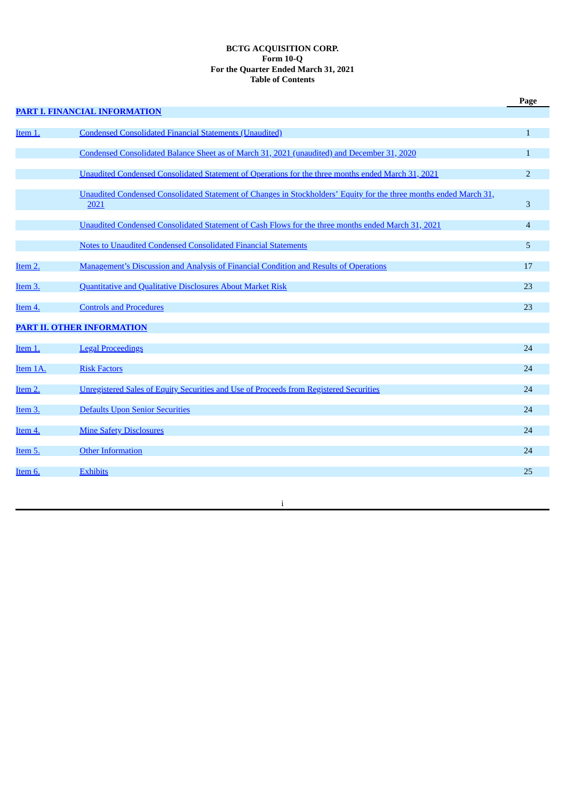## **BCTG ACQUISITION CORP. Form 10-Q For the Quarter Ended March 31, 2021 Table of Contents**

|                     |                                                                                                                            | Page           |
|---------------------|----------------------------------------------------------------------------------------------------------------------------|----------------|
|                     | PART I. FINANCIAL INFORMATION                                                                                              |                |
| Item 1.             | <b>Condensed Consolidated Financial Statements (Unaudited)</b>                                                             | $\mathbf{1}$   |
|                     | Condensed Consolidated Balance Sheet as of March 31, 2021 (unaudited) and December 31, 2020                                | $\mathbf{1}$   |
|                     | Unaudited Condensed Consolidated Statement of Operations for the three months ended March 31, 2021                         | $\overline{2}$ |
|                     | Unaudited Condensed Consolidated Statement of Changes in Stockholders' Equity for the three months ended March 31,<br>2021 | 3              |
|                     | Unaudited Condensed Consolidated Statement of Cash Flows for the three months ended March 31, 2021                         | $\overline{4}$ |
|                     | Notes to Unaudited Condensed Consolidated Financial Statements                                                             | 5              |
| Item 2.             | Management's Discussion and Analysis of Financial Condition and Results of Operations                                      | 17             |
| Item 3.             | Quantitative and Qualitative Disclosures About Market Risk                                                                 | 23             |
| Item 4.             | <b>Controls and Procedures</b>                                                                                             | 23             |
|                     | <b>PART II. OTHER INFORMATION</b>                                                                                          |                |
| Item 1.             | <b>Legal Proceedings</b>                                                                                                   | 24             |
| Item 1A.            | <b>Risk Factors</b>                                                                                                        | 24             |
| Item 2.             | Unregistered Sales of Equity Securities and Use of Proceeds from Registered Securities                                     | 24             |
| Item <sub>3</sub> . | <b>Defaults Upon Senior Securities</b>                                                                                     | 24             |
| Item 4.             | <b>Mine Safety Disclosures</b>                                                                                             | 24             |
| Item 5.             | <b>Other Information</b>                                                                                                   | 24             |
| Item 6.             | <b>Exhibits</b>                                                                                                            | 25             |
|                     |                                                                                                                            |                |

i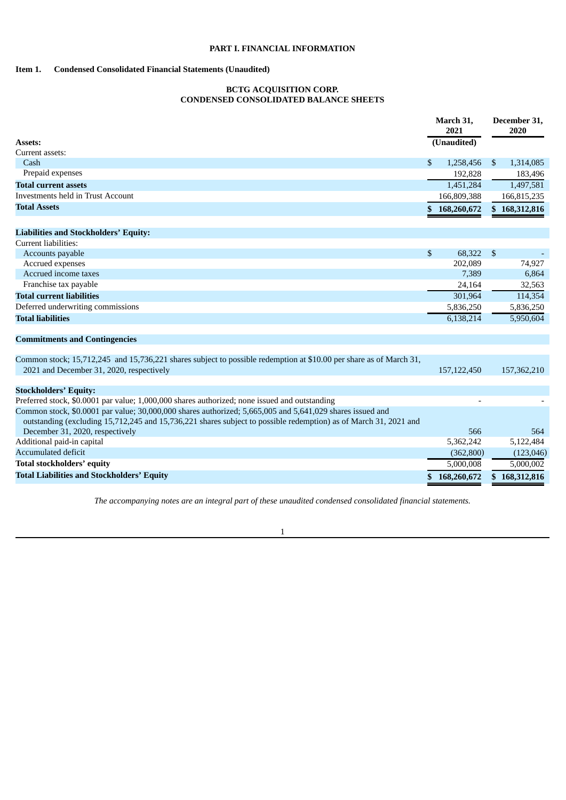## **PART I. FINANCIAL INFORMATION**

## <span id="page-2-2"></span><span id="page-2-1"></span><span id="page-2-0"></span>**Item 1. Condensed Consolidated Financial Statements (Unaudited)**

## **BCTG ACQUISITION CORP. CONDENSED CONSOLIDATED BALANCE SHEETS**

|                                                                                                                                                                                                                               | March 31,<br>2021 | December 31,<br>2020 |
|-------------------------------------------------------------------------------------------------------------------------------------------------------------------------------------------------------------------------------|-------------------|----------------------|
| Assets:                                                                                                                                                                                                                       | (Unaudited)       |                      |
| Current assets:                                                                                                                                                                                                               |                   |                      |
| Cash                                                                                                                                                                                                                          | \$<br>1,258,456   | \$<br>1,314,085      |
| Prepaid expenses                                                                                                                                                                                                              | 192,828           | 183,496              |
| <b>Total current assets</b>                                                                                                                                                                                                   | 1,451,284         | 1,497,581            |
| Investments held in Trust Account                                                                                                                                                                                             | 166,809,388       | 166,815,235          |
| <b>Total Assets</b>                                                                                                                                                                                                           | \$<br>168,260,672 | \$168,312,816        |
| <b>Liabilities and Stockholders' Equity:</b>                                                                                                                                                                                  |                   |                      |
| Current liabilities:                                                                                                                                                                                                          |                   |                      |
| Accounts payable                                                                                                                                                                                                              | \$<br>68,322      | \$                   |
| Accrued expenses                                                                                                                                                                                                              | 202,089           | 74,927               |
| Accrued income taxes                                                                                                                                                                                                          | 7,389             | 6,864                |
| Franchise tax payable                                                                                                                                                                                                         | 24,164            | 32,563               |
| <b>Total current liabilities</b>                                                                                                                                                                                              | 301,964           | 114,354              |
| Deferred underwriting commissions                                                                                                                                                                                             | 5,836,250         | 5,836,250            |
| <b>Total liabilities</b>                                                                                                                                                                                                      | 6,138,214         | 5,950,604            |
| <b>Commitments and Contingencies</b>                                                                                                                                                                                          |                   |                      |
| Common stock; 15,712,245 and 15,736,221 shares subject to possible redemption at \$10.00 per share as of March 31,                                                                                                            |                   |                      |
| 2021 and December 31, 2020, respectively                                                                                                                                                                                      | 157,122,450       | 157,362,210          |
| <b>Stockholders' Equity:</b>                                                                                                                                                                                                  |                   |                      |
| Preferred stock, \$0.0001 par value; 1,000,000 shares authorized; none issued and outstanding                                                                                                                                 |                   |                      |
| Common stock, \$0.0001 par value; 30,000,000 shares authorized; 5,665,005 and 5,641,029 shares issued and<br>outstanding (excluding 15,712,245 and 15,736,221 shares subject to possible redemption) as of March 31, 2021 and |                   |                      |
| December 31, 2020, respectively                                                                                                                                                                                               | 566               | 564                  |
| Additional paid-in capital                                                                                                                                                                                                    | 5,362,242         | 5,122,484            |
| Accumulated deficit                                                                                                                                                                                                           | (362,800)         | (123, 046)           |
| <b>Total stockholders' equity</b>                                                                                                                                                                                             | 5,000,008         | 5,000,002            |
| <b>Total Liabilities and Stockholders' Equity</b>                                                                                                                                                                             | \$168,260,672     | \$168,312,816        |

*The accompanying notes are an integral part of these unaudited condensed consolidated financial statements.*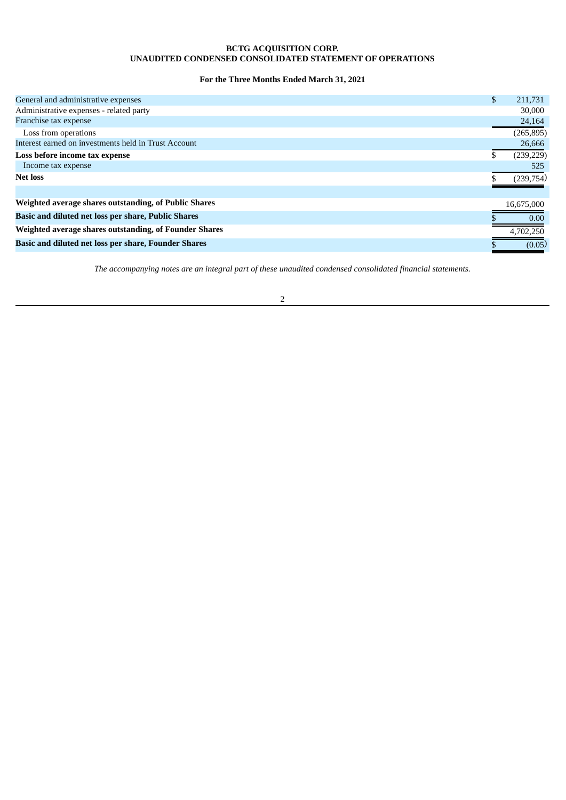## **BCTG ACQUISITION CORP. UNAUDITED CONDENSED CONSOLIDATED STATEMENT OF OPERATIONS**

## **For the Three Months Ended March 31, 2021**

<span id="page-3-0"></span>

| General and administrative expenses                         | \$<br>211,731 |
|-------------------------------------------------------------|---------------|
| Administrative expenses - related party                     | 30,000        |
| Franchise tax expense                                       | 24,164        |
| Loss from operations                                        | (265, 895)    |
| Interest earned on investments held in Trust Account        | 26,666        |
| Loss before income tax expense                              | (239, 229)    |
| Income tax expense                                          | 525           |
| <b>Net loss</b>                                             | (239,754)     |
|                                                             |               |
| Weighted average shares outstanding, of Public Shares       | 16,675,000    |
| Basic and diluted net loss per share, Public Shares         | 0.00          |
| Weighted average shares outstanding, of Founder Shares      | 4,702,250     |
| <b>Basic and diluted net loss per share, Founder Shares</b> | (0.05)        |

*The accompanying notes are an integral part of these unaudited condensed consolidated financial statements.*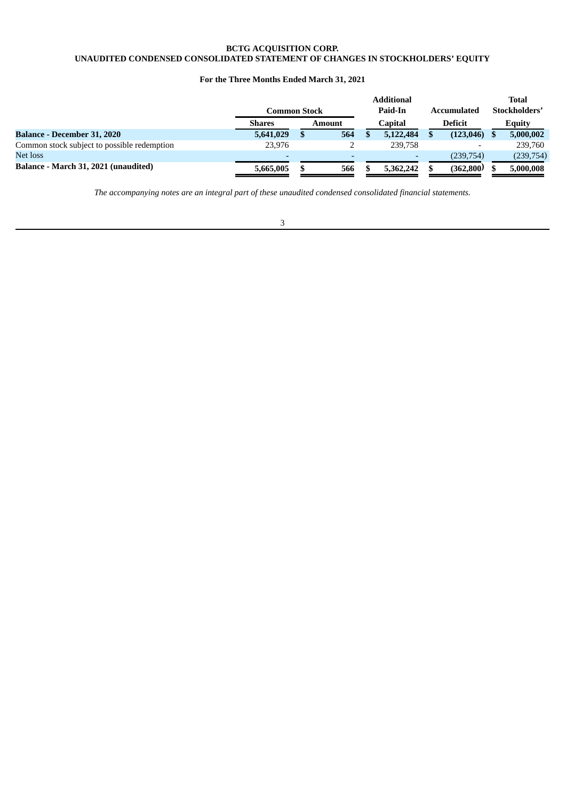### **BCTG ACQUISITION CORP. UNAUDITED CONDENSED CONSOLIDATED STATEMENT OF CHANGES IN STOCKHOLDERS' EQUITY**

## **For the Three Months Ended March 31, 2021**

<span id="page-4-0"></span>

|                                             | Common Stock             |               |         | <b>Additional</b><br>Paid-In |         | Accumulated              |  | Total<br>Stockholders' |
|---------------------------------------------|--------------------------|---------------|---------|------------------------------|---------|--------------------------|--|------------------------|
|                                             | <b>Shares</b>            | <b>Amount</b> | Capital |                              | Deficit | <b>Equity</b>            |  |                        |
| <b>Balance - December 31, 2020</b>          | 5,641,029                | 564           |         | 5,122,484                    |         | (123, 046)               |  | 5,000,002              |
| Common stock subject to possible redemption | 23.976                   |               |         | 239,758                      |         | $\overline{\phantom{0}}$ |  | 239,760                |
| Net loss                                    | $\overline{\phantom{0}}$ |               |         | $\overline{\phantom{0}}$     |         | (239,754)                |  | (239,754)              |
| Balance - March 31, 2021 (unaudited)        | 5,665,005                | 566           |         | 5,362,242                    |         | (362,800)                |  | 5,000,008              |

*The accompanying notes are an integral part of these unaudited condensed consolidated financial statements.*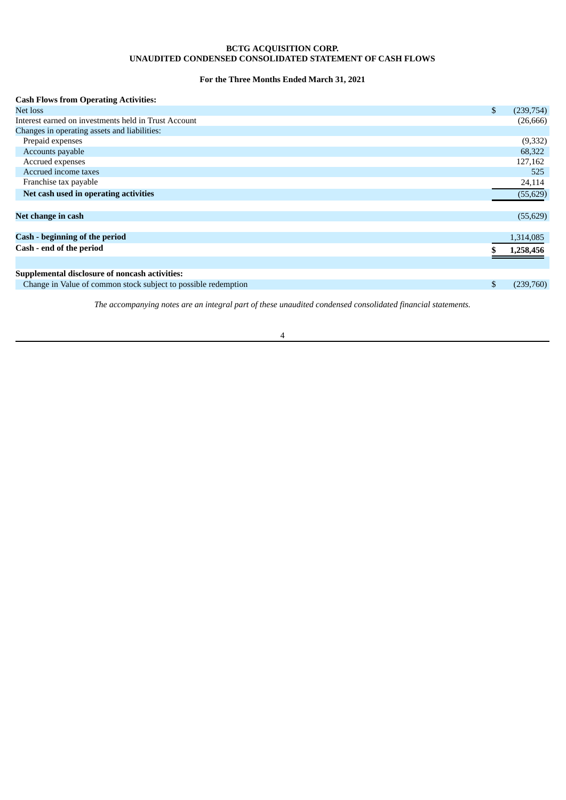## **BCTG ACQUISITION CORP. UNAUDITED CONDENSED CONSOLIDATED STATEMENT OF CASH FLOWS**

## **For the Three Months Ended March 31, 2021**

<span id="page-5-0"></span>

| <b>Cash Flows from Operating Activities:</b>                   |                 |
|----------------------------------------------------------------|-----------------|
| Net loss                                                       | \$<br>(239,754) |
| Interest earned on investments held in Trust Account           | (26, 666)       |
| Changes in operating assets and liabilities:                   |                 |
| Prepaid expenses                                               | (9,332)         |
| Accounts payable                                               | 68,322          |
| Accrued expenses                                               | 127,162         |
| Accrued income taxes                                           | 525             |
| Franchise tax payable                                          | 24,114          |
| Net cash used in operating activities                          | (55, 629)       |
|                                                                |                 |
| Net change in cash                                             | (55, 629)       |
|                                                                |                 |
| Cash - beginning of the period                                 | 1,314,085       |
| Cash - end of the period                                       | 1,258,456       |
|                                                                |                 |
| Supplemental disclosure of noncash activities:                 |                 |
| Change in Value of common stock subject to possible redemption | (239,760)       |

*The accompanying notes are an integral part of these unaudited condensed consolidated financial statements.*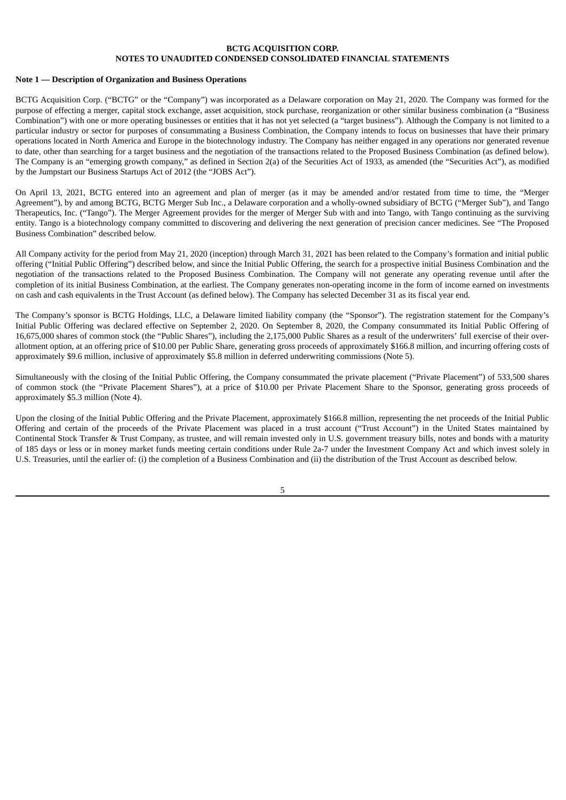#### <span id="page-6-0"></span>**Note 1 — Description of Organization and Business Operations**

BCTG Acquisition Corp. ("BCTG" or the "Company") was incorporated as a Delaware corporation on May 21, 2020. The Company was formed for the purpose of effecting a merger, capital stock exchange, asset acquisition, stock purchase, reorganization or other similar business combination (a "Business Combination") with one or more operating businesses or entities that it has not yet selected (a "target business"). Although the Company is not limited to a particular industry or sector for purposes of consummating a Business Combination, the Company intends to focus on businesses that have their primary operations located in North America and Europe in the biotechnology industry. The Company has neither engaged in any operations nor generated revenue to date, other than searching for a target business and the negotiation of the transactions related to the Proposed Business Combination (as defined below). The Company is an "emerging growth company," as defined in Section 2(a) of the Securities Act of 1933, as amended (the "Securities Act"), as modified by the Jumpstart our Business Startups Act of 2012 (the "JOBS Act").

On April 13, 2021, BCTG entered into an agreement and plan of merger (as it may be amended and/or restated from time to time, the "Merger Agreement"), by and among BCTG, BCTG Merger Sub Inc., a Delaware corporation and a wholly-owned subsidiary of BCTG ("Merger Sub"), and Tango Therapeutics, Inc. ("Tango"). The Merger Agreement provides for the merger of Merger Sub with and into Tango, with Tango continuing as the surviving entity. Tango is a biotechnology company committed to discovering and delivering the next generation of precision cancer medicines. See "The Proposed Business Combination" described below.

All Company activity for the period from May 21, 2020 (inception) through March 31, 2021 has been related to the Company's formation and initial public offering ("Initial Public Offering") described below, and since the Initial Public Offering, the search for a prospective initial Business Combination and the negotiation of the transactions related to the Proposed Business Combination. The Company will not generate any operating revenue until after the completion of its initial Business Combination, at the earliest. The Company generates non-operating income in the form of income earned on investments on cash and cash equivalents in the Trust Account (as defined below). The Company has selected December 31 as its fiscal year end.

The Company's sponsor is BCTG Holdings, LLC, a Delaware limited liability company (the "Sponsor"). The registration statement for the Company's Initial Public Offering was declared effective on September 2, 2020. On September 8, 2020, the Company consummated its Initial Public Offering of 16,675,000 shares of common stock (the "Public Shares"), including the 2,175,000 Public Shares as a result of the underwriters' full exercise of their overallotment option, at an offering price of \$10.00 per Public Share, generating gross proceeds of approximately \$166.8 million, and incurring offering costs of approximately \$9.6 million, inclusive of approximately \$5.8 million in deferred underwriting commissions (Note 5).

Simultaneously with the closing of the Initial Public Offering, the Company consummated the private placement ("Private Placement") of 533,500 shares of common stock (the "Private Placement Shares"), at a price of \$10.00 per Private Placement Share to the Sponsor, generating gross proceeds of approximately \$5.3 million (Note 4).

Upon the closing of the Initial Public Offering and the Private Placement, approximately \$166.8 million, representing the net proceeds of the Initial Public Offering and certain of the proceeds of the Private Placement was placed in a trust account ("Trust Account") in the United States maintained by Continental Stock Transfer & Trust Company, as trustee, and will remain invested only in U.S. government treasury bills, notes and bonds with a maturity of 185 days or less or in money market funds meeting certain conditions under Rule 2a-7 under the Investment Company Act and which invest solely in U.S. Treasuries, until the earlier of: (i) the completion of a Business Combination and (ii) the distribution of the Trust Account as described below.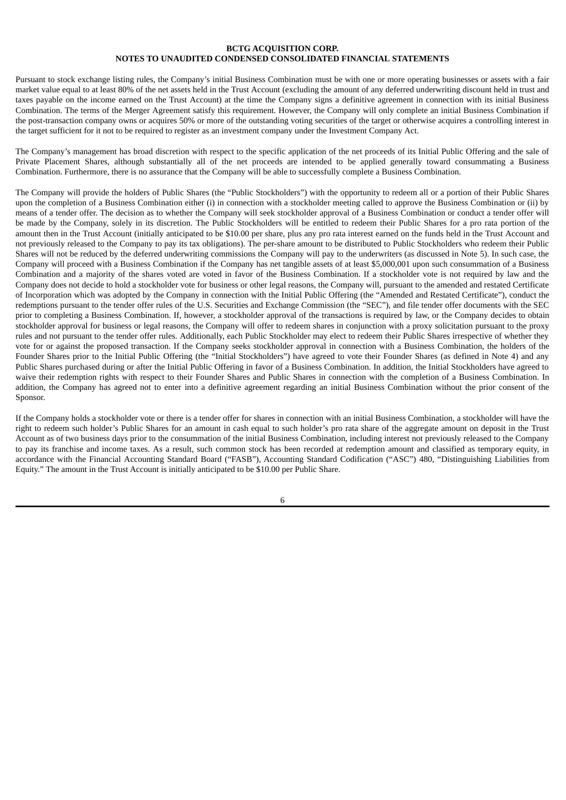Pursuant to stock exchange listing rules, the Company's initial Business Combination must be with one or more operating businesses or assets with a fair market value equal to at least 80% of the net assets held in the Trust Account (excluding the amount of any deferred underwriting discount held in trust and taxes payable on the income earned on the Trust Account) at the time the Company signs a definitive agreement in connection with its initial Business Combination. The terms of the Merger Agreement satisfy this requirement. However, the Company will only complete an initial Business Combination if the post-transaction company owns or acquires 50% or more of the outstanding voting securities of the target or otherwise acquires a controlling interest in the target sufficient for it not to be required to register as an investment company under the Investment Company Act.

The Company's management has broad discretion with respect to the specific application of the net proceeds of its Initial Public Offering and the sale of Private Placement Shares, although substantially all of the net proceeds are intended to be applied generally toward consummating a Business Combination. Furthermore, there is no assurance that the Company will be able to successfully complete a Business Combination.

The Company will provide the holders of Public Shares (the "Public Stockholders") with the opportunity to redeem all or a portion of their Public Shares upon the completion of a Business Combination either (i) in connection with a stockholder meeting called to approve the Business Combination or (ii) by means of a tender offer. The decision as to whether the Company will seek stockholder approval of a Business Combination or conduct a tender offer will be made by the Company, solely in its discretion. The Public Stockholders will be entitled to redeem their Public Shares for a pro rata portion of the amount then in the Trust Account (initially anticipated to be \$10.00 per share, plus any pro rata interest earned on the funds held in the Trust Account and not previously released to the Company to pay its tax obligations). The per-share amount to be distributed to Public Stockholders who redeem their Public Shares will not be reduced by the deferred underwriting commissions the Company will pay to the underwriters (as discussed in Note 5). In such case, the Company will proceed with a Business Combination if the Company has net tangible assets of at least \$5,000,001 upon such consummation of a Business Combination and a majority of the shares voted are voted in favor of the Business Combination. If a stockholder vote is not required by law and the Company does not decide to hold a stockholder vote for business or other legal reasons, the Company will, pursuant to the amended and restated Certificate of Incorporation which was adopted by the Company in connection with the Initial Public Offering (the "Amended and Restated Certificate"), conduct the redemptions pursuant to the tender offer rules of the U.S. Securities and Exchange Commission (the "SEC"), and file tender offer documents with the SEC prior to completing a Business Combination. If, however, a stockholder approval of the transactions is required by law, or the Company decides to obtain stockholder approval for business or legal reasons, the Company will offer to redeem shares in conjunction with a proxy solicitation pursuant to the proxy rules and not pursuant to the tender offer rules. Additionally, each Public Stockholder may elect to redeem their Public Shares irrespective of whether they vote for or against the proposed transaction. If the Company seeks stockholder approval in connection with a Business Combination, the holders of the Founder Shares prior to the Initial Public Offering (the "Initial Stockholders") have agreed to vote their Founder Shares (as defined in Note 4) and any Public Shares purchased during or after the Initial Public Offering in favor of a Business Combination. In addition, the Initial Stockholders have agreed to waive their redemption rights with respect to their Founder Shares and Public Shares in connection with the completion of a Business Combination. In addition, the Company has agreed not to enter into a definitive agreement regarding an initial Business Combination without the prior consent of the Sponsor.

If the Company holds a stockholder vote or there is a tender offer for shares in connection with an initial Business Combination, a stockholder will have the right to redeem such holder's Public Shares for an amount in cash equal to such holder's pro rata share of the aggregate amount on deposit in the Trust Account as of two business days prior to the consummation of the initial Business Combination, including interest not previously released to the Company to pay its franchise and income taxes. As a result, such common stock has been recorded at redemption amount and classified as temporary equity, in accordance with the Financial Accounting Standard Board ("FASB"), Accounting Standard Codification ("ASC") 480, "Distinguishing Liabilities from Equity." The amount in the Trust Account is initially anticipated to be \$10.00 per Public Share.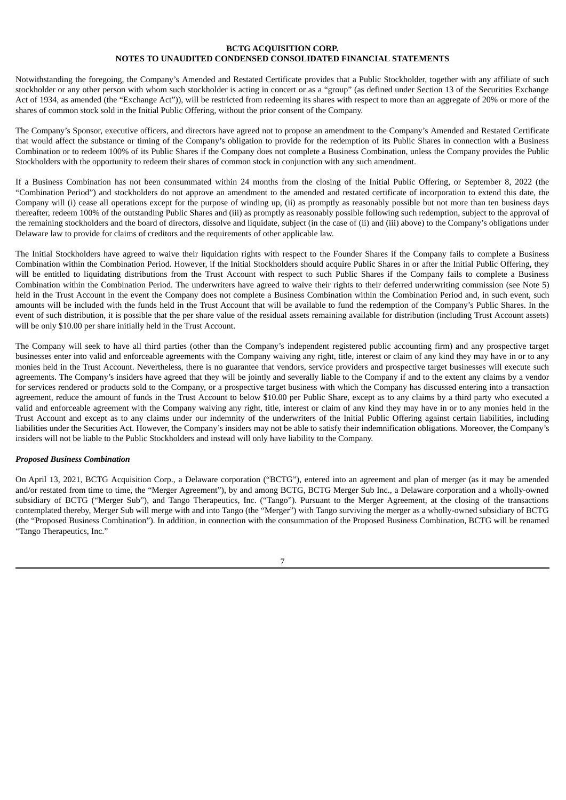Notwithstanding the foregoing, the Company's Amended and Restated Certificate provides that a Public Stockholder, together with any affiliate of such stockholder or any other person with whom such stockholder is acting in concert or as a "group" (as defined under Section 13 of the Securities Exchange Act of 1934, as amended (the "Exchange Act")), will be restricted from redeeming its shares with respect to more than an aggregate of 20% or more of the shares of common stock sold in the Initial Public Offering, without the prior consent of the Company.

The Company's Sponsor, executive officers, and directors have agreed not to propose an amendment to the Company's Amended and Restated Certificate that would affect the substance or timing of the Company's obligation to provide for the redemption of its Public Shares in connection with a Business Combination or to redeem 100% of its Public Shares if the Company does not complete a Business Combination, unless the Company provides the Public Stockholders with the opportunity to redeem their shares of common stock in conjunction with any such amendment.

If a Business Combination has not been consummated within 24 months from the closing of the Initial Public Offering, or September 8, 2022 (the "Combination Period") and stockholders do not approve an amendment to the amended and restated certificate of incorporation to extend this date, the Company will (i) cease all operations except for the purpose of winding up, (ii) as promptly as reasonably possible but not more than ten business days thereafter, redeem 100% of the outstanding Public Shares and (iii) as promptly as reasonably possible following such redemption, subject to the approval of the remaining stockholders and the board of directors, dissolve and liquidate, subject (in the case of (ii) and (iii) above) to the Company's obligations under Delaware law to provide for claims of creditors and the requirements of other applicable law.

The Initial Stockholders have agreed to waive their liquidation rights with respect to the Founder Shares if the Company fails to complete a Business Combination within the Combination Period. However, if the Initial Stockholders should acquire Public Shares in or after the Initial Public Offering, they will be entitled to liquidating distributions from the Trust Account with respect to such Public Shares if the Company fails to complete a Business Combination within the Combination Period. The underwriters have agreed to waive their rights to their deferred underwriting commission (see Note 5) held in the Trust Account in the event the Company does not complete a Business Combination within the Combination Period and, in such event, such amounts will be included with the funds held in the Trust Account that will be available to fund the redemption of the Company's Public Shares. In the event of such distribution, it is possible that the per share value of the residual assets remaining available for distribution (including Trust Account assets) will be only \$10.00 per share initially held in the Trust Account.

The Company will seek to have all third parties (other than the Company's independent registered public accounting firm) and any prospective target businesses enter into valid and enforceable agreements with the Company waiving any right, title, interest or claim of any kind they may have in or to any monies held in the Trust Account. Nevertheless, there is no guarantee that vendors, service providers and prospective target businesses will execute such agreements. The Company's insiders have agreed that they will be jointly and severally liable to the Company if and to the extent any claims by a vendor for services rendered or products sold to the Company, or a prospective target business with which the Company has discussed entering into a transaction agreement, reduce the amount of funds in the Trust Account to below \$10.00 per Public Share, except as to any claims by a third party who executed a valid and enforceable agreement with the Company waiving any right, title, interest or claim of any kind they may have in or to any monies held in the Trust Account and except as to any claims under our indemnity of the underwriters of the Initial Public Offering against certain liabilities, including liabilities under the Securities Act. However, the Company's insiders may not be able to satisfy their indemnification obligations. Moreover, the Company's insiders will not be liable to the Public Stockholders and instead will only have liability to the Company.

## *Proposed Business Combination*

On April 13, 2021, BCTG Acquisition Corp., a Delaware corporation ("BCTG"), entered into an agreement and plan of merger (as it may be amended and/or restated from time to time, the "Merger Agreement"), by and among BCTG, BCTG Merger Sub Inc., a Delaware corporation and a wholly-owned subsidiary of BCTG ("Merger Sub"), and Tango Therapeutics, Inc. ("Tango"). Pursuant to the Merger Agreement, at the closing of the transactions contemplated thereby, Merger Sub will merge with and into Tango (the "Merger") with Tango surviving the merger as a wholly-owned subsidiary of BCTG (the "Proposed Business Combination"). In addition, in connection with the consummation of the Proposed Business Combination, BCTG will be renamed "Tango Therapeutics, Inc."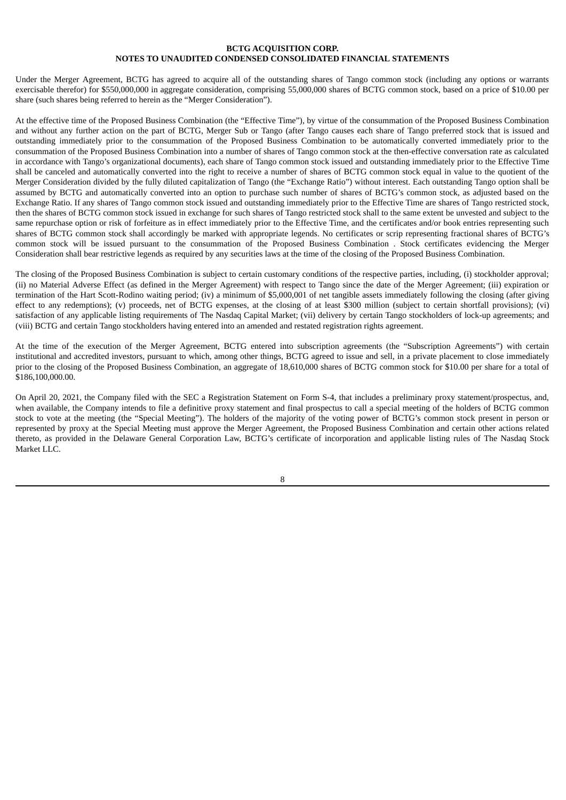Under the Merger Agreement, BCTG has agreed to acquire all of the outstanding shares of Tango common stock (including any options or warrants exercisable therefor) for \$550,000,000 in aggregate consideration, comprising 55,000,000 shares of BCTG common stock, based on a price of \$10.00 per share (such shares being referred to herein as the "Merger Consideration").

At the effective time of the Proposed Business Combination (the "Effective Time"), by virtue of the consummation of the Proposed Business Combination and without any further action on the part of BCTG, Merger Sub or Tango (after Tango causes each share of Tango preferred stock that is issued and outstanding immediately prior to the consummation of the Proposed Business Combination to be automatically converted immediately prior to the consummation of the Proposed Business Combination into a number of shares of Tango common stock at the then-effective conversation rate as calculated in accordance with Tango's organizational documents), each share of Tango common stock issued and outstanding immediately prior to the Effective Time shall be canceled and automatically converted into the right to receive a number of shares of BCTG common stock equal in value to the quotient of the Merger Consideration divided by the fully diluted capitalization of Tango (the "Exchange Ratio") without interest. Each outstanding Tango option shall be assumed by BCTG and automatically converted into an option to purchase such number of shares of BCTG's common stock, as adjusted based on the Exchange Ratio. If any shares of Tango common stock issued and outstanding immediately prior to the Effective Time are shares of Tango restricted stock, then the shares of BCTG common stock issued in exchange for such shares of Tango restricted stock shall to the same extent be unvested and subject to the same repurchase option or risk of forfeiture as in effect immediately prior to the Effective Time, and the certificates and/or book entries representing such shares of BCTG common stock shall accordingly be marked with appropriate legends. No certificates or scrip representing fractional shares of BCTG's common stock will be issued pursuant to the consummation of the Proposed Business Combination . Stock certificates evidencing the Merger Consideration shall bear restrictive legends as required by any securities laws at the time of the closing of the Proposed Business Combination.

The closing of the Proposed Business Combination is subject to certain customary conditions of the respective parties, including, (i) stockholder approval; (ii) no Material Adverse Effect (as defined in the Merger Agreement) with respect to Tango since the date of the Merger Agreement; (iii) expiration or termination of the Hart Scott-Rodino waiting period; (iv) a minimum of \$5,000,001 of net tangible assets immediately following the closing (after giving effect to any redemptions); (v) proceeds, net of BCTG expenses, at the closing of at least \$300 million (subject to certain shortfall provisions); (vi) satisfaction of any applicable listing requirements of The Nasdaq Capital Market; (vii) delivery by certain Tango stockholders of lock-up agreements; and (viii) BCTG and certain Tango stockholders having entered into an amended and restated registration rights agreement.

At the time of the execution of the Merger Agreement, BCTG entered into subscription agreements (the "Subscription Agreements") with certain institutional and accredited investors, pursuant to which, among other things, BCTG agreed to issue and sell, in a private placement to close immediately prior to the closing of the Proposed Business Combination, an aggregate of 18,610,000 shares of BCTG common stock for \$10.00 per share for a total of \$186,100,000.00.

On April 20, 2021, the Company filed with the SEC a Registration Statement on Form S-4, that includes a preliminary proxy statement/prospectus, and, when available, the Company intends to file a definitive proxy statement and final prospectus to call a special meeting of the holders of BCTG common stock to vote at the meeting (the "Special Meeting"). The holders of the majority of the voting power of BCTG's common stock present in person or represented by proxy at the Special Meeting must approve the Merger Agreement, the Proposed Business Combination and certain other actions related thereto, as provided in the Delaware General Corporation Law, BCTG's certificate of incorporation and applicable listing rules of The Nasdaq Stock Market LLC.

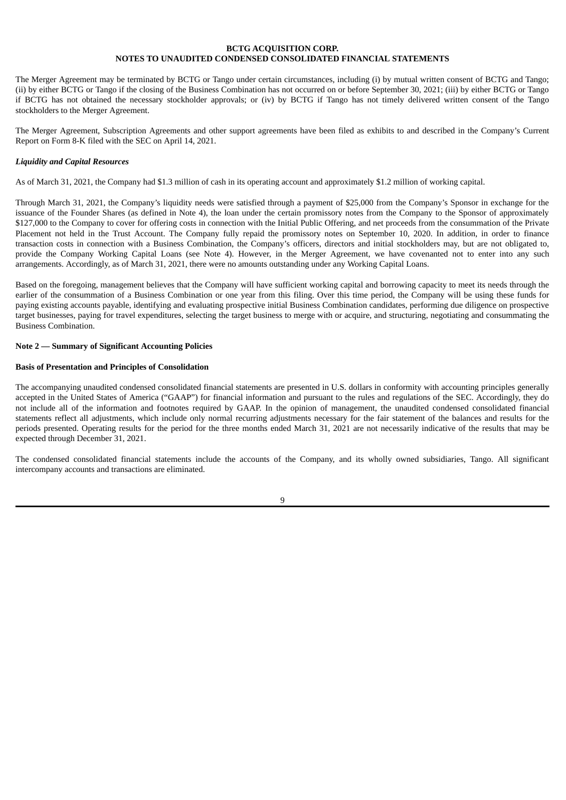The Merger Agreement may be terminated by BCTG or Tango under certain circumstances, including (i) by mutual written consent of BCTG and Tango; (ii) by either BCTG or Tango if the closing of the Business Combination has not occurred on or before September 30, 2021; (iii) by either BCTG or Tango if BCTG has not obtained the necessary stockholder approvals; or (iv) by BCTG if Tango has not timely delivered written consent of the Tango stockholders to the Merger Agreement.

The Merger Agreement, Subscription Agreements and other support agreements have been filed as exhibits to and described in the Company's Current Report on Form 8-K filed with the SEC on April 14, 2021.

### *Liquidity and Capital Resources*

As of March 31, 2021, the Company had \$1.3 million of cash in its operating account and approximately \$1.2 million of working capital.

Through March 31, 2021, the Company's liquidity needs were satisfied through a payment of \$25,000 from the Company's Sponsor in exchange for the issuance of the Founder Shares (as defined in Note 4), the loan under the certain promissory notes from the Company to the Sponsor of approximately \$127,000 to the Company to cover for offering costs in connection with the Initial Public Offering, and net proceeds from the consummation of the Private Placement not held in the Trust Account. The Company fully repaid the promissory notes on September 10, 2020. In addition, in order to finance transaction costs in connection with a Business Combination, the Company's officers, directors and initial stockholders may, but are not obligated to, provide the Company Working Capital Loans (see Note 4). However, in the Merger Agreement, we have covenanted not to enter into any such arrangements. Accordingly, as of March 31, 2021, there were no amounts outstanding under any Working Capital Loans.

Based on the foregoing, management believes that the Company will have sufficient working capital and borrowing capacity to meet its needs through the earlier of the consummation of a Business Combination or one year from this filing. Over this time period, the Company will be using these funds for paying existing accounts payable, identifying and evaluating prospective initial Business Combination candidates, performing due diligence on prospective target businesses, paying for travel expenditures, selecting the target business to merge with or acquire, and structuring, negotiating and consummating the Business Combination.

#### **Note 2 — Summary of Significant Accounting Policies**

#### **Basis of Presentation and Principles of Consolidation**

The accompanying unaudited condensed consolidated financial statements are presented in U.S. dollars in conformity with accounting principles generally accepted in the United States of America ("GAAP") for financial information and pursuant to the rules and regulations of the SEC. Accordingly, they do not include all of the information and footnotes required by GAAP. In the opinion of management, the unaudited condensed consolidated financial statements reflect all adjustments, which include only normal recurring adjustments necessary for the fair statement of the balances and results for the periods presented. Operating results for the period for the three months ended March 31, 2021 are not necessarily indicative of the results that may be expected through December 31, 2021.

The condensed consolidated financial statements include the accounts of the Company, and its wholly owned subsidiaries, Tango. All significant intercompany accounts and transactions are eliminated.

 $\mathbf q$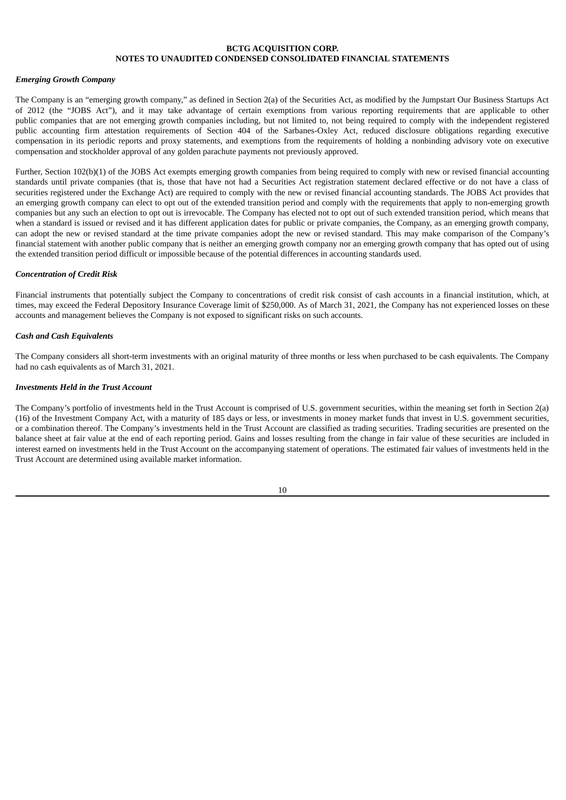#### *Emerging Growth Company*

The Company is an "emerging growth company," as defined in Section 2(a) of the Securities Act, as modified by the Jumpstart Our Business Startups Act of 2012 (the "JOBS Act"), and it may take advantage of certain exemptions from various reporting requirements that are applicable to other public companies that are not emerging growth companies including, but not limited to, not being required to comply with the independent registered public accounting firm attestation requirements of Section 404 of the Sarbanes-Oxley Act, reduced disclosure obligations regarding executive compensation in its periodic reports and proxy statements, and exemptions from the requirements of holding a nonbinding advisory vote on executive compensation and stockholder approval of any golden parachute payments not previously approved.

Further, Section 102(b)(1) of the JOBS Act exempts emerging growth companies from being required to comply with new or revised financial accounting standards until private companies (that is, those that have not had a Securities Act registration statement declared effective or do not have a class of securities registered under the Exchange Act) are required to comply with the new or revised financial accounting standards. The JOBS Act provides that an emerging growth company can elect to opt out of the extended transition period and comply with the requirements that apply to non-emerging growth companies but any such an election to opt out is irrevocable. The Company has elected not to opt out of such extended transition period, which means that when a standard is issued or revised and it has different application dates for public or private companies, the Company, as an emerging growth company, can adopt the new or revised standard at the time private companies adopt the new or revised standard. This may make comparison of the Company's financial statement with another public company that is neither an emerging growth company nor an emerging growth company that has opted out of using the extended transition period difficult or impossible because of the potential differences in accounting standards used.

#### *Concentration of Credit Risk*

Financial instruments that potentially subject the Company to concentrations of credit risk consist of cash accounts in a financial institution, which, at times, may exceed the Federal Depository Insurance Coverage limit of \$250,000. As of March 31, 2021, the Company has not experienced losses on these accounts and management believes the Company is not exposed to significant risks on such accounts.

### *Cash and Cash Equivalents*

The Company considers all short-term investments with an original maturity of three months or less when purchased to be cash equivalents. The Company had no cash equivalents as of March 31, 2021.

### *Investments Held in the Trust Account*

The Company's portfolio of investments held in the Trust Account is comprised of U.S. government securities, within the meaning set forth in Section 2(a) (16) of the Investment Company Act, with a maturity of 185 days or less, or investments in money market funds that invest in U.S. government securities, or a combination thereof. The Company's investments held in the Trust Account are classified as trading securities. Trading securities are presented on the balance sheet at fair value at the end of each reporting period. Gains and losses resulting from the change in fair value of these securities are included in interest earned on investments held in the Trust Account on the accompanying statement of operations. The estimated fair values of investments held in the Trust Account are determined using available market information.

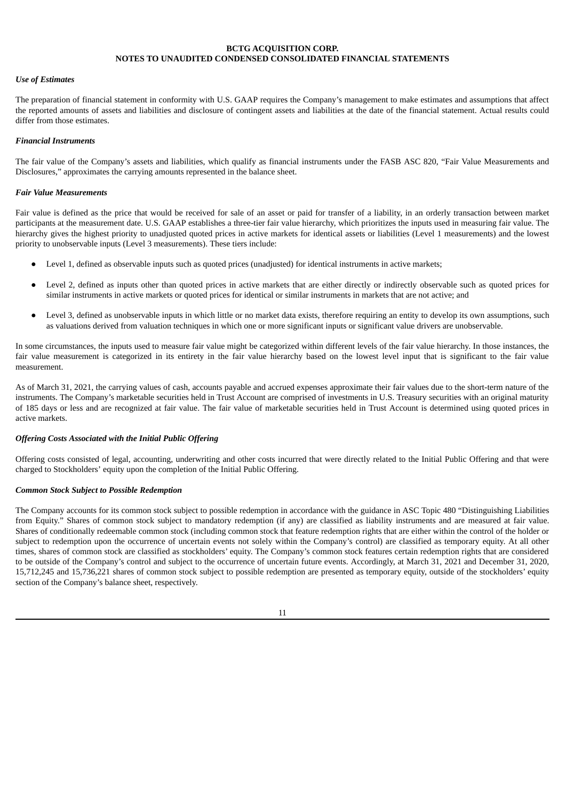#### *Use of Estimates*

The preparation of financial statement in conformity with U.S. GAAP requires the Company's management to make estimates and assumptions that affect the reported amounts of assets and liabilities and disclosure of contingent assets and liabilities at the date of the financial statement. Actual results could differ from those estimates.

### *Financial Instruments*

The fair value of the Company's assets and liabilities, which qualify as financial instruments under the FASB ASC 820, "Fair Value Measurements and Disclosures," approximates the carrying amounts represented in the balance sheet.

### *Fair Value Measurements*

Fair value is defined as the price that would be received for sale of an asset or paid for transfer of a liability, in an orderly transaction between market participants at the measurement date. U.S. GAAP establishes a three-tier fair value hierarchy, which prioritizes the inputs used in measuring fair value. The hierarchy gives the highest priority to unadjusted quoted prices in active markets for identical assets or liabilities (Level 1 measurements) and the lowest priority to unobservable inputs (Level 3 measurements). These tiers include:

- Level 1, defined as observable inputs such as quoted prices (unadjusted) for identical instruments in active markets;
- Level 2, defined as inputs other than quoted prices in active markets that are either directly or indirectly observable such as quoted prices for similar instruments in active markets or quoted prices for identical or similar instruments in markets that are not active; and
- Level 3, defined as unobservable inputs in which little or no market data exists, therefore requiring an entity to develop its own assumptions, such as valuations derived from valuation techniques in which one or more significant inputs or significant value drivers are unobservable.

In some circumstances, the inputs used to measure fair value might be categorized within different levels of the fair value hierarchy. In those instances, the fair value measurement is categorized in its entirety in the fair value hierarchy based on the lowest level input that is significant to the fair value measurement.

As of March 31, 2021, the carrying values of cash, accounts payable and accrued expenses approximate their fair values due to the short-term nature of the instruments. The Company's marketable securities held in Trust Account are comprised of investments in U.S. Treasury securities with an original maturity of 185 days or less and are recognized at fair value. The fair value of marketable securities held in Trust Account is determined using quoted prices in active markets.

#### *Offering Costs Associated with the Initial Public Offering*

Offering costs consisted of legal, accounting, underwriting and other costs incurred that were directly related to the Initial Public Offering and that were charged to Stockholders' equity upon the completion of the Initial Public Offering.

#### *Common Stock Subject to Possible Redemption*

The Company accounts for its common stock subject to possible redemption in accordance with the guidance in ASC Topic 480 "Distinguishing Liabilities from Equity." Shares of common stock subject to mandatory redemption (if any) are classified as liability instruments and are measured at fair value. Shares of conditionally redeemable common stock (including common stock that feature redemption rights that are either within the control of the holder or subject to redemption upon the occurrence of uncertain events not solely within the Company's control) are classified as temporary equity. At all other times, shares of common stock are classified as stockholders' equity. The Company's common stock features certain redemption rights that are considered to be outside of the Company's control and subject to the occurrence of uncertain future events. Accordingly, at March 31, 2021 and December 31, 2020, 15,712,245 and 15,736,221 shares of common stock subject to possible redemption are presented as temporary equity, outside of the stockholders' equity section of the Company's balance sheet, respectively.

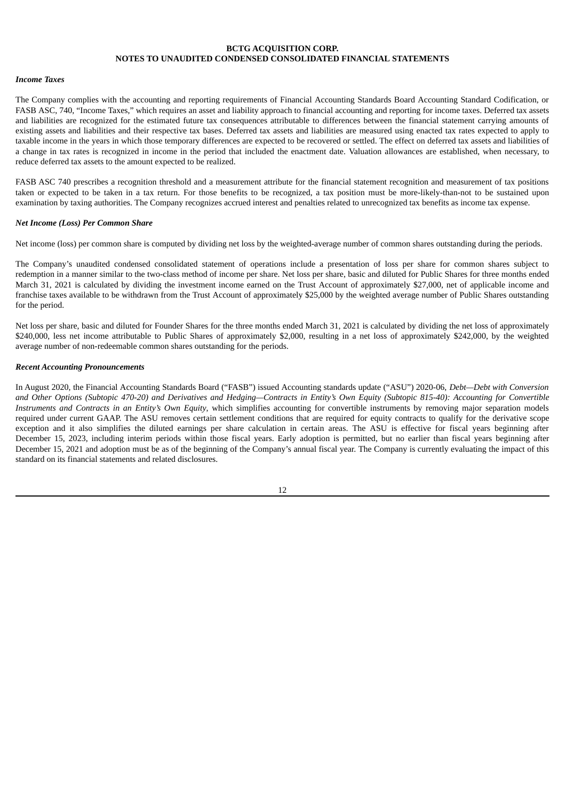#### *Income Taxes*

The Company complies with the accounting and reporting requirements of Financial Accounting Standards Board Accounting Standard Codification, or FASB ASC, 740, "Income Taxes," which requires an asset and liability approach to financial accounting and reporting for income taxes. Deferred tax assets and liabilities are recognized for the estimated future tax consequences attributable to differences between the financial statement carrying amounts of existing assets and liabilities and their respective tax bases. Deferred tax assets and liabilities are measured using enacted tax rates expected to apply to taxable income in the years in which those temporary differences are expected to be recovered or settled. The effect on deferred tax assets and liabilities of a change in tax rates is recognized in income in the period that included the enactment date. Valuation allowances are established, when necessary, to reduce deferred tax assets to the amount expected to be realized.

FASB ASC 740 prescribes a recognition threshold and a measurement attribute for the financial statement recognition and measurement of tax positions taken or expected to be taken in a tax return. For those benefits to be recognized, a tax position must be more-likely-than-not to be sustained upon examination by taxing authorities. The Company recognizes accrued interest and penalties related to unrecognized tax benefits as income tax expense.

#### *Net Income (Loss) Per Common Share*

Net income (loss) per common share is computed by dividing net loss by the weighted-average number of common shares outstanding during the periods.

The Company's unaudited condensed consolidated statement of operations include a presentation of loss per share for common shares subject to redemption in a manner similar to the two-class method of income per share. Net loss per share, basic and diluted for Public Shares for three months ended March 31, 2021 is calculated by dividing the investment income earned on the Trust Account of approximately \$27,000, net of applicable income and franchise taxes available to be withdrawn from the Trust Account of approximately \$25,000 by the weighted average number of Public Shares outstanding for the period.

Net loss per share, basic and diluted for Founder Shares for the three months ended March 31, 2021 is calculated by dividing the net loss of approximately \$240,000, less net income attributable to Public Shares of approximately \$2,000, resulting in a net loss of approximately \$242,000, by the weighted average number of non-redeemable common shares outstanding for the periods.

#### *Recent Accounting Pronouncements*

In August 2020, the Financial Accounting Standards Board ("FASB") issued Accounting standards update ("ASU") 2020-06, *Debt—Debt with Conversion* and Other Options (Subtopic 470-20) and Derivatives and Hedging-Contracts in Entity's Own Equity (Subtopic 815-40): Accounting for Convertible *Instruments and Contracts in an Entity's Own Equity*, which simplifies accounting for convertible instruments by removing major separation models required under current GAAP. The ASU removes certain settlement conditions that are required for equity contracts to qualify for the derivative scope exception and it also simplifies the diluted earnings per share calculation in certain areas. The ASU is effective for fiscal years beginning after December 15, 2023, including interim periods within those fiscal years. Early adoption is permitted, but no earlier than fiscal years beginning after December 15, 2021 and adoption must be as of the beginning of the Company's annual fiscal year. The Company is currently evaluating the impact of this standard on its financial statements and related disclosures.

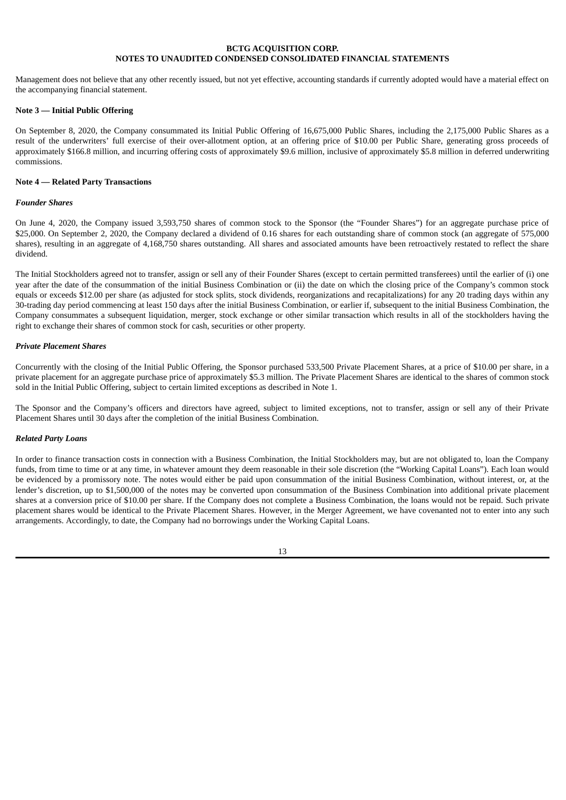Management does not believe that any other recently issued, but not yet effective, accounting standards if currently adopted would have a material effect on the accompanying financial statement.

## **Note 3 — Initial Public Offering**

On September 8, 2020, the Company consummated its Initial Public Offering of 16,675,000 Public Shares, including the 2,175,000 Public Shares as a result of the underwriters' full exercise of their over-allotment option, at an offering price of \$10.00 per Public Share, generating gross proceeds of approximately \$166.8 million, and incurring offering costs of approximately \$9.6 million, inclusive of approximately \$5.8 million in deferred underwriting commissions.

## **Note 4 — Related Party Transactions**

## *Founder Shares*

On June 4, 2020, the Company issued 3,593,750 shares of common stock to the Sponsor (the "Founder Shares") for an aggregate purchase price of \$25,000. On September 2, 2020, the Company declared a dividend of 0.16 shares for each outstanding share of common stock (an aggregate of 575,000 shares), resulting in an aggregate of 4,168,750 shares outstanding. All shares and associated amounts have been retroactively restated to reflect the share dividend.

The Initial Stockholders agreed not to transfer, assign or sell any of their Founder Shares (except to certain permitted transferees) until the earlier of (i) one year after the date of the consummation of the initial Business Combination or (ii) the date on which the closing price of the Company's common stock equals or exceeds \$12.00 per share (as adjusted for stock splits, stock dividends, reorganizations and recapitalizations) for any 20 trading days within any 30-trading day period commencing at least 150 days after the initial Business Combination, or earlier if, subsequent to the initial Business Combination, the Company consummates a subsequent liquidation, merger, stock exchange or other similar transaction which results in all of the stockholders having the right to exchange their shares of common stock for cash, securities or other property.

#### *Private Placement Shares*

Concurrently with the closing of the Initial Public Offering, the Sponsor purchased 533,500 Private Placement Shares, at a price of \$10.00 per share, in a private placement for an aggregate purchase price of approximately \$5.3 million. The Private Placement Shares are identical to the shares of common stock sold in the Initial Public Offering, subject to certain limited exceptions as described in Note 1.

The Sponsor and the Company's officers and directors have agreed, subject to limited exceptions, not to transfer, assign or sell any of their Private Placement Shares until 30 days after the completion of the initial Business Combination.

## *Related Party Loans*

In order to finance transaction costs in connection with a Business Combination, the Initial Stockholders may, but are not obligated to, loan the Company funds, from time to time or at any time, in whatever amount they deem reasonable in their sole discretion (the "Working Capital Loans"). Each loan would be evidenced by a promissory note. The notes would either be paid upon consummation of the initial Business Combination, without interest, or, at the lender's discretion, up to \$1,500,000 of the notes may be converted upon consummation of the Business Combination into additional private placement shares at a conversion price of \$10.00 per share. If the Company does not complete a Business Combination, the loans would not be repaid. Such private placement shares would be identical to the Private Placement Shares. However, in the Merger Agreement, we have covenanted not to enter into any such arrangements. Accordingly, to date, the Company had no borrowings under the Working Capital Loans.

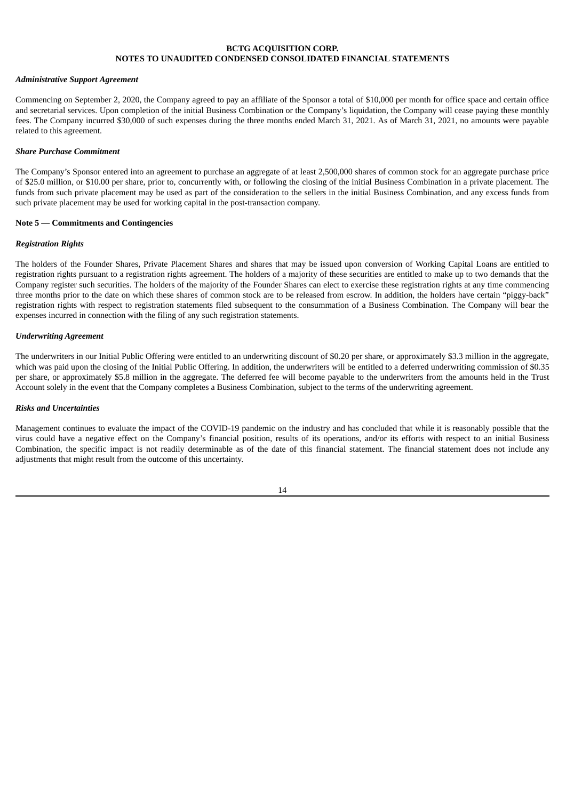#### *Administrative Support Agreement*

Commencing on September 2, 2020, the Company agreed to pay an affiliate of the Sponsor a total of \$10,000 per month for office space and certain office and secretarial services. Upon completion of the initial Business Combination or the Company's liquidation, the Company will cease paying these monthly fees. The Company incurred \$30,000 of such expenses during the three months ended March 31, 2021. As of March 31, 2021, no amounts were payable related to this agreement.

### *Share Purchase Commitment*

The Company's Sponsor entered into an agreement to purchase an aggregate of at least 2,500,000 shares of common stock for an aggregate purchase price of \$25.0 million, or \$10.00 per share, prior to, concurrently with, or following the closing of the initial Business Combination in a private placement. The funds from such private placement may be used as part of the consideration to the sellers in the initial Business Combination, and any excess funds from such private placement may be used for working capital in the post-transaction company.

### **Note 5 — Commitments and Contingencies**

#### *Registration Rights*

The holders of the Founder Shares, Private Placement Shares and shares that may be issued upon conversion of Working Capital Loans are entitled to registration rights pursuant to a registration rights agreement. The holders of a majority of these securities are entitled to make up to two demands that the Company register such securities. The holders of the majority of the Founder Shares can elect to exercise these registration rights at any time commencing three months prior to the date on which these shares of common stock are to be released from escrow. In addition, the holders have certain "piggy-back" registration rights with respect to registration statements filed subsequent to the consummation of a Business Combination. The Company will bear the expenses incurred in connection with the filing of any such registration statements.

### *Underwriting Agreement*

The underwriters in our Initial Public Offering were entitled to an underwriting discount of \$0.20 per share, or approximately \$3.3 million in the aggregate, which was paid upon the closing of the Initial Public Offering. In addition, the underwriters will be entitled to a deferred underwriting commission of \$0.35 per share, or approximately \$5.8 million in the aggregate. The deferred fee will become payable to the underwriters from the amounts held in the Trust Account solely in the event that the Company completes a Business Combination, subject to the terms of the underwriting agreement.

#### *Risks and Uncertainties*

Management continues to evaluate the impact of the COVID-19 pandemic on the industry and has concluded that while it is reasonably possible that the virus could have a negative effect on the Company's financial position, results of its operations, and/or its efforts with respect to an initial Business Combination, the specific impact is not readily determinable as of the date of this financial statement. The financial statement does not include any adjustments that might result from the outcome of this uncertainty.

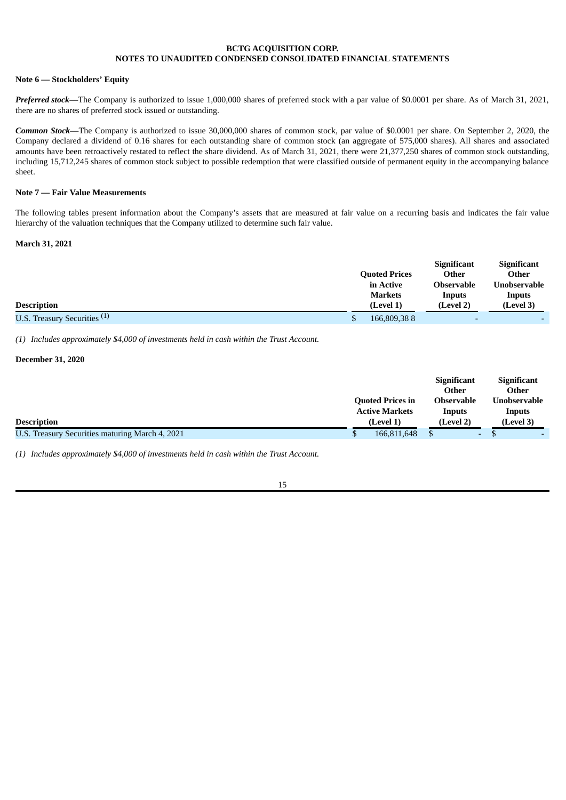### **Note 6 — Stockholders' Equity**

*Preferred stock*—The Company is authorized to issue 1,000,000 shares of preferred stock with a par value of \$0.0001 per share. As of March 31, 2021, there are no shares of preferred stock issued or outstanding.

*Common Stock*—The Company is authorized to issue 30,000,000 shares of common stock, par value of \$0.0001 per share. On September 2, 2020, the Company declared a dividend of 0.16 shares for each outstanding share of common stock (an aggregate of 575,000 shares). All shares and associated amounts have been retroactively restated to reflect the share dividend. As of March 31, 2021, there were 21,377,250 shares of common stock outstanding, including 15,712,245 shares of common stock subject to possible redemption that were classified outside of permanent equity in the accompanying balance sheet.

## **Note 7 — Fair Value Measurements**

The following tables present information about the Company's assets that are measured at fair value on a recurring basis and indicates the fair value hierarchy of the valuation techniques that the Company utilized to determine such fair value.

## **March 31, 2021**

|                                         |                      | <b>Significant</b>       | <b>Significant</b> |
|-----------------------------------------|----------------------|--------------------------|--------------------|
|                                         | <b>Quoted Prices</b> | Other                    | Other              |
|                                         | in Active            | <b>Observable</b>        | Unobservable       |
|                                         | <b>Markets</b>       | Inputs                   | Inputs             |
| <b>Description</b>                      | (Level 1)            | (Level 2)                | (Level 3)          |
| U.S. Treasury Securities <sup>(1)</sup> | 166,809,388          | $\overline{\phantom{0}}$ |                    |

*(1) Includes approximately \$4,000 of investments held in cash within the Trust Account.*

## **December 31, 2020**

|                                                 |                         | <b>Significant</b><br>Other |                          | <b>Significant</b><br>Other |  |
|-------------------------------------------------|-------------------------|-----------------------------|--------------------------|-----------------------------|--|
|                                                 | <b>Quoted Prices in</b> | <b>Observable</b>           |                          | <b>Unobservable</b>         |  |
|                                                 | <b>Active Markets</b>   | Inputs                      |                          | Inputs                      |  |
| <b>Description</b>                              | (Level 1)               | (Level 2)                   |                          | (Level 3)                   |  |
| U.S. Treasury Securities maturing March 4, 2021 | 166.811.648             |                             | $\overline{\phantom{0}}$ |                             |  |

*(1) Includes approximately \$4,000 of investments held in cash within the Trust Account.*

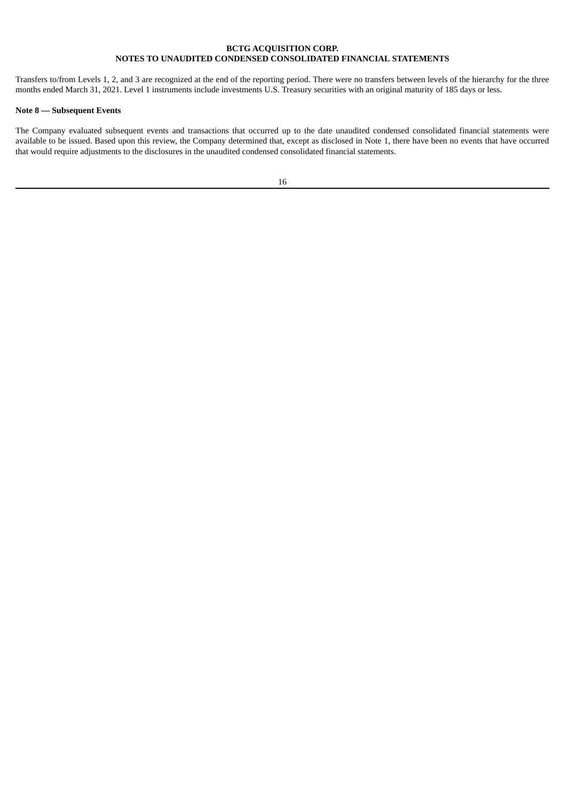Transfers to/from Levels 1, 2, and 3 are recognized at the end of the reporting period. There were no transfers between levels of the hierarchy for the three months ended March 31, 2021. Level 1 instruments include investments U.S. Treasury securities with an original maturity of 185 days or less.

## **Note 8 — Subsequent Events**

The Company evaluated subsequent events and transactions that occurred up to the date unaudited condensed consolidated financial statements were available to be issued. Based upon this review, the Company determined that, except as disclosed in Note 1, there have been no events that have occurred that would require adjustments to the disclosures in the unaudited condensed consolidated financial statements.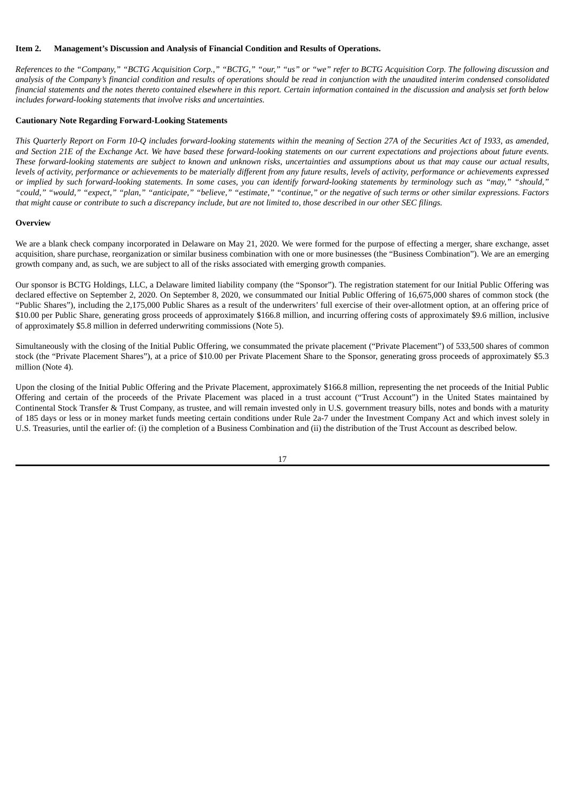#### <span id="page-18-0"></span>**Item 2. Management's Discussion and Analysis of Financial Condition and Results of Operations.**

References to the "Company," "BCTG Acquisition Corp.," "BCTG," "our," "us" or "we" refer to BCTG Acquisition Corp. The following discussion and analysis of the Company's financial condition and results of operations should be read in conjunction with the unaudited interim condensed consolidated financial statements and the notes thereto contained elsewhere in this report. Certain information contained in the discussion and analysis set forth below *includes forward-looking statements that involve risks and uncertainties.*

### **Cautionary Note Regarding Forward-Looking Statements**

This Quarterly Report on Form 10-Q includes forward-looking statements within the meaning of Section 27A of the Securities Act of 1933, as amended, and Section 21E of the Exchange Act. We have based these forward-looking statements on our current expectations and projections about future events. These forward-looking statements are subject to known and unknown risks, uncertainties and assumptions about us that may cause our actual results, levels of activity, performance or achievements to be materially different from any future results, levels of activity, performance or achievements expressed or implied by such forward-looking statements. In some cases, you can identify forward-looking statements by terminology such as "may," "should," "could," "would," "expect," "plan," "anticipate," "believe," "estimate," "continue," or the negative of such terms or other similar expressions. Factors that might cause or contribute to such a discrepancy include, but are not limited to, those described in our other SEC filings.

#### **Overview**

We are a blank check company incorporated in Delaware on May 21, 2020. We were formed for the purpose of effecting a merger, share exchange, asset acquisition, share purchase, reorganization or similar business combination with one or more businesses (the "Business Combination"). We are an emerging growth company and, as such, we are subject to all of the risks associated with emerging growth companies.

Our sponsor is BCTG Holdings, LLC, a Delaware limited liability company (the "Sponsor"). The registration statement for our Initial Public Offering was declared effective on September 2, 2020. On September 8, 2020, we consummated our Initial Public Offering of 16,675,000 shares of common stock (the "Public Shares"), including the 2,175,000 Public Shares as a result of the underwriters' full exercise of their over-allotment option, at an offering price of \$10.00 per Public Share, generating gross proceeds of approximately \$166.8 million, and incurring offering costs of approximately \$9.6 million, inclusive of approximately \$5.8 million in deferred underwriting commissions (Note 5).

Simultaneously with the closing of the Initial Public Offering, we consummated the private placement ("Private Placement") of 533,500 shares of common stock (the "Private Placement Shares"), at a price of \$10.00 per Private Placement Share to the Sponsor, generating gross proceeds of approximately \$5.3 million (Note 4).

Upon the closing of the Initial Public Offering and the Private Placement, approximately \$166.8 million, representing the net proceeds of the Initial Public Offering and certain of the proceeds of the Private Placement was placed in a trust account ("Trust Account") in the United States maintained by Continental Stock Transfer & Trust Company, as trustee, and will remain invested only in U.S. government treasury bills, notes and bonds with a maturity of 185 days or less or in money market funds meeting certain conditions under Rule 2a-7 under the Investment Company Act and which invest solely in U.S. Treasuries, until the earlier of: (i) the completion of a Business Combination and (ii) the distribution of the Trust Account as described below.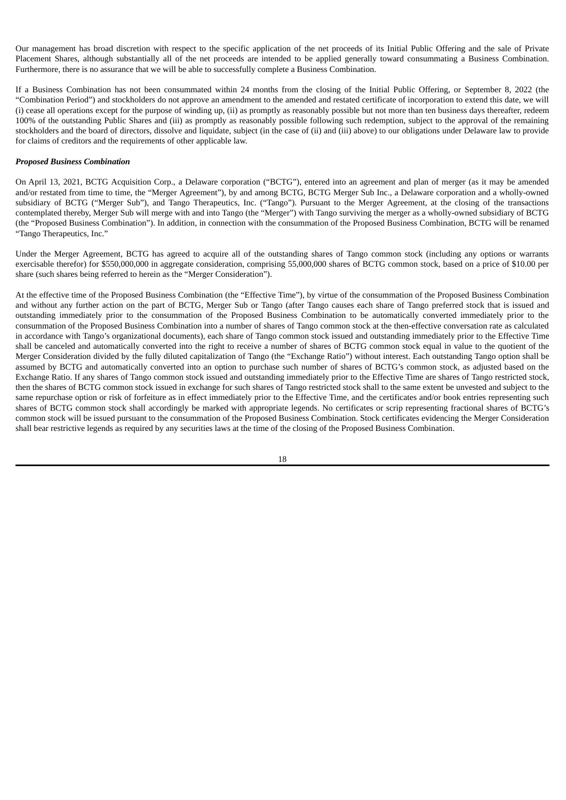Our management has broad discretion with respect to the specific application of the net proceeds of its Initial Public Offering and the sale of Private Placement Shares, although substantially all of the net proceeds are intended to be applied generally toward consummating a Business Combination. Furthermore, there is no assurance that we will be able to successfully complete a Business Combination.

If a Business Combination has not been consummated within 24 months from the closing of the Initial Public Offering, or September 8, 2022 (the "Combination Period") and stockholders do not approve an amendment to the amended and restated certificate of incorporation to extend this date, we will (i) cease all operations except for the purpose of winding up, (ii) as promptly as reasonably possible but not more than ten business days thereafter, redeem 100% of the outstanding Public Shares and (iii) as promptly as reasonably possible following such redemption, subject to the approval of the remaining stockholders and the board of directors, dissolve and liquidate, subject (in the case of (ii) and (iii) above) to our obligations under Delaware law to provide for claims of creditors and the requirements of other applicable law.

#### *Proposed Business Combination*

On April 13, 2021, BCTG Acquisition Corp., a Delaware corporation ("BCTG"), entered into an agreement and plan of merger (as it may be amended and/or restated from time to time, the "Merger Agreement"), by and among BCTG, BCTG Merger Sub Inc., a Delaware corporation and a wholly-owned subsidiary of BCTG ("Merger Sub"), and Tango Therapeutics, Inc. ("Tango"). Pursuant to the Merger Agreement, at the closing of the transactions contemplated thereby, Merger Sub will merge with and into Tango (the "Merger") with Tango surviving the merger as a wholly-owned subsidiary of BCTG (the "Proposed Business Combination"). In addition, in connection with the consummation of the Proposed Business Combination, BCTG will be renamed "Tango Therapeutics, Inc."

Under the Merger Agreement, BCTG has agreed to acquire all of the outstanding shares of Tango common stock (including any options or warrants exercisable therefor) for \$550,000,000 in aggregate consideration, comprising 55,000,000 shares of BCTG common stock, based on a price of \$10.00 per share (such shares being referred to herein as the "Merger Consideration").

At the effective time of the Proposed Business Combination (the "Effective Time"), by virtue of the consummation of the Proposed Business Combination and without any further action on the part of BCTG, Merger Sub or Tango (after Tango causes each share of Tango preferred stock that is issued and outstanding immediately prior to the consummation of the Proposed Business Combination to be automatically converted immediately prior to the consummation of the Proposed Business Combination into a number of shares of Tango common stock at the then-effective conversation rate as calculated in accordance with Tango's organizational documents), each share of Tango common stock issued and outstanding immediately prior to the Effective Time shall be canceled and automatically converted into the right to receive a number of shares of BCTG common stock equal in value to the quotient of the Merger Consideration divided by the fully diluted capitalization of Tango (the "Exchange Ratio") without interest. Each outstanding Tango option shall be assumed by BCTG and automatically converted into an option to purchase such number of shares of BCTG's common stock, as adjusted based on the Exchange Ratio. If any shares of Tango common stock issued and outstanding immediately prior to the Effective Time are shares of Tango restricted stock, then the shares of BCTG common stock issued in exchange for such shares of Tango restricted stock shall to the same extent be unvested and subject to the same repurchase option or risk of forfeiture as in effect immediately prior to the Effective Time, and the certificates and/or book entries representing such shares of BCTG common stock shall accordingly be marked with appropriate legends. No certificates or scrip representing fractional shares of BCTG's common stock will be issued pursuant to the consummation of the Proposed Business Combination. Stock certificates evidencing the Merger Consideration shall bear restrictive legends as required by any securities laws at the time of the closing of the Proposed Business Combination.

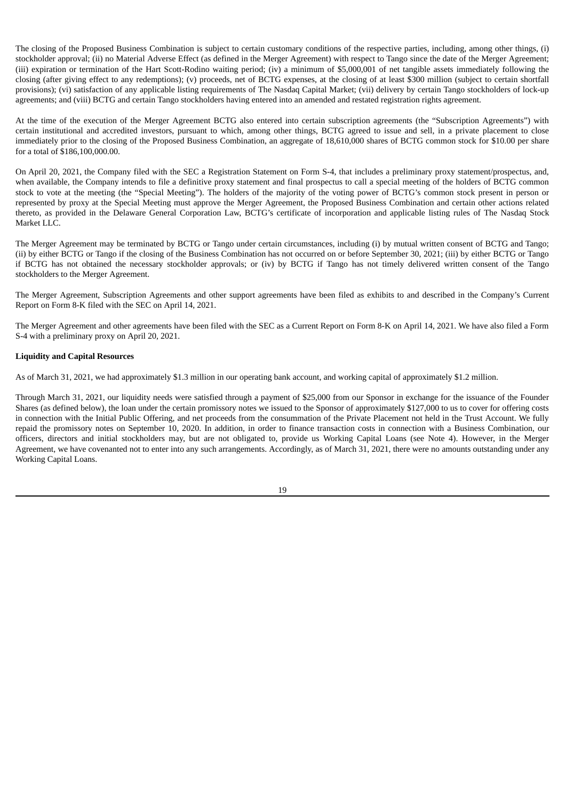The closing of the Proposed Business Combination is subject to certain customary conditions of the respective parties, including, among other things, (i) stockholder approval; (ii) no Material Adverse Effect (as defined in the Merger Agreement) with respect to Tango since the date of the Merger Agreement; (iii) expiration or termination of the Hart Scott-Rodino waiting period; (iv) a minimum of \$5,000,001 of net tangible assets immediately following the closing (after giving effect to any redemptions); (v) proceeds, net of BCTG expenses, at the closing of at least \$300 million (subject to certain shortfall provisions); (vi) satisfaction of any applicable listing requirements of The Nasdaq Capital Market; (vii) delivery by certain Tango stockholders of lock-up agreements; and (viii) BCTG and certain Tango stockholders having entered into an amended and restated registration rights agreement.

At the time of the execution of the Merger Agreement BCTG also entered into certain subscription agreements (the "Subscription Agreements") with certain institutional and accredited investors, pursuant to which, among other things, BCTG agreed to issue and sell, in a private placement to close immediately prior to the closing of the Proposed Business Combination, an aggregate of 18,610,000 shares of BCTG common stock for \$10.00 per share for a total of \$186,100,000.00.

On April 20, 2021, the Company filed with the SEC a Registration Statement on Form S-4, that includes a preliminary proxy statement/prospectus, and, when available, the Company intends to file a definitive proxy statement and final prospectus to call a special meeting of the holders of BCTG common stock to vote at the meeting (the "Special Meeting"). The holders of the majority of the voting power of BCTG's common stock present in person or represented by proxy at the Special Meeting must approve the Merger Agreement, the Proposed Business Combination and certain other actions related thereto, as provided in the Delaware General Corporation Law, BCTG's certificate of incorporation and applicable listing rules of The Nasdaq Stock Market LLC.

The Merger Agreement may be terminated by BCTG or Tango under certain circumstances, including (i) by mutual written consent of BCTG and Tango; (ii) by either BCTG or Tango if the closing of the Business Combination has not occurred on or before September 30, 2021; (iii) by either BCTG or Tango if BCTG has not obtained the necessary stockholder approvals; or (iv) by BCTG if Tango has not timely delivered written consent of the Tango stockholders to the Merger Agreement.

The Merger Agreement, Subscription Agreements and other support agreements have been filed as exhibits to and described in the Company's Current Report on Form 8-K filed with the SEC on April 14, 2021.

The Merger Agreement and other agreements have been filed with the SEC as a Current Report on Form 8-K on April 14, 2021. We have also filed a Form S-4 with a preliminary proxy on April 20, 2021.

## **Liquidity and Capital Resources**

As of March 31, 2021, we had approximately \$1.3 million in our operating bank account, and working capital of approximately \$1.2 million.

Through March 31, 2021, our liquidity needs were satisfied through a payment of \$25,000 from our Sponsor in exchange for the issuance of the Founder Shares (as defined below), the loan under the certain promissory notes we issued to the Sponsor of approximately \$127,000 to us to cover for offering costs in connection with the Initial Public Offering, and net proceeds from the consummation of the Private Placement not held in the Trust Account. We fully repaid the promissory notes on September 10, 2020. In addition, in order to finance transaction costs in connection with a Business Combination, our officers, directors and initial stockholders may, but are not obligated to, provide us Working Capital Loans (see Note 4). However, in the Merger Agreement, we have covenanted not to enter into any such arrangements. Accordingly, as of March 31, 2021, there were no amounts outstanding under any Working Capital Loans.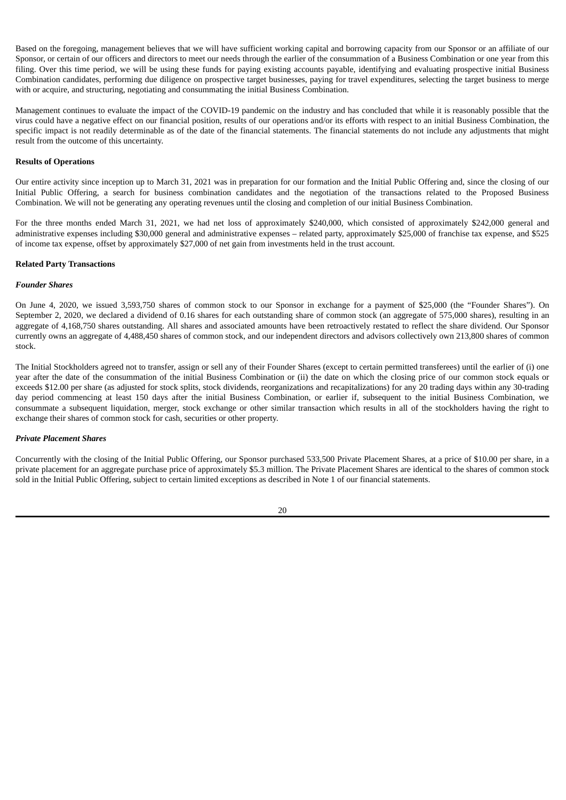Based on the foregoing, management believes that we will have sufficient working capital and borrowing capacity from our Sponsor or an affiliate of our Sponsor, or certain of our officers and directors to meet our needs through the earlier of the consummation of a Business Combination or one year from this filing. Over this time period, we will be using these funds for paying existing accounts payable, identifying and evaluating prospective initial Business Combination candidates, performing due diligence on prospective target businesses, paying for travel expenditures, selecting the target business to merge with or acquire, and structuring, negotiating and consummating the initial Business Combination.

Management continues to evaluate the impact of the COVID-19 pandemic on the industry and has concluded that while it is reasonably possible that the virus could have a negative effect on our financial position, results of our operations and/or its efforts with respect to an initial Business Combination, the specific impact is not readily determinable as of the date of the financial statements. The financial statements do not include any adjustments that might result from the outcome of this uncertainty.

#### **Results of Operations**

Our entire activity since inception up to March 31, 2021 was in preparation for our formation and the Initial Public Offering and, since the closing of our Initial Public Offering, a search for business combination candidates and the negotiation of the transactions related to the Proposed Business Combination. We will not be generating any operating revenues until the closing and completion of our initial Business Combination.

For the three months ended March 31, 2021, we had net loss of approximately \$240,000, which consisted of approximately \$242,000 general and administrative expenses including \$30,000 general and administrative expenses – related party, approximately \$25,000 of franchise tax expense, and \$525 of income tax expense, offset by approximately \$27,000 of net gain from investments held in the trust account.

#### **Related Party Transactions**

#### *Founder Shares*

On June 4, 2020, we issued 3,593,750 shares of common stock to our Sponsor in exchange for a payment of \$25,000 (the "Founder Shares"). On September 2, 2020, we declared a dividend of 0.16 shares for each outstanding share of common stock (an aggregate of 575,000 shares), resulting in an aggregate of 4,168,750 shares outstanding. All shares and associated amounts have been retroactively restated to reflect the share dividend. Our Sponsor currently owns an aggregate of 4,488,450 shares of common stock, and our independent directors and advisors collectively own 213,800 shares of common stock.

The Initial Stockholders agreed not to transfer, assign or sell any of their Founder Shares (except to certain permitted transferees) until the earlier of (i) one year after the date of the consummation of the initial Business Combination or (ii) the date on which the closing price of our common stock equals or exceeds \$12.00 per share (as adjusted for stock splits, stock dividends, reorganizations and recapitalizations) for any 20 trading days within any 30-trading day period commencing at least 150 days after the initial Business Combination, or earlier if, subsequent to the initial Business Combination, we consummate a subsequent liquidation, merger, stock exchange or other similar transaction which results in all of the stockholders having the right to exchange their shares of common stock for cash, securities or other property.

#### *Private Placement Shares*

Concurrently with the closing of the Initial Public Offering, our Sponsor purchased 533,500 Private Placement Shares, at a price of \$10.00 per share, in a private placement for an aggregate purchase price of approximately \$5.3 million. The Private Placement Shares are identical to the shares of common stock sold in the Initial Public Offering, subject to certain limited exceptions as described in Note 1 of our financial statements.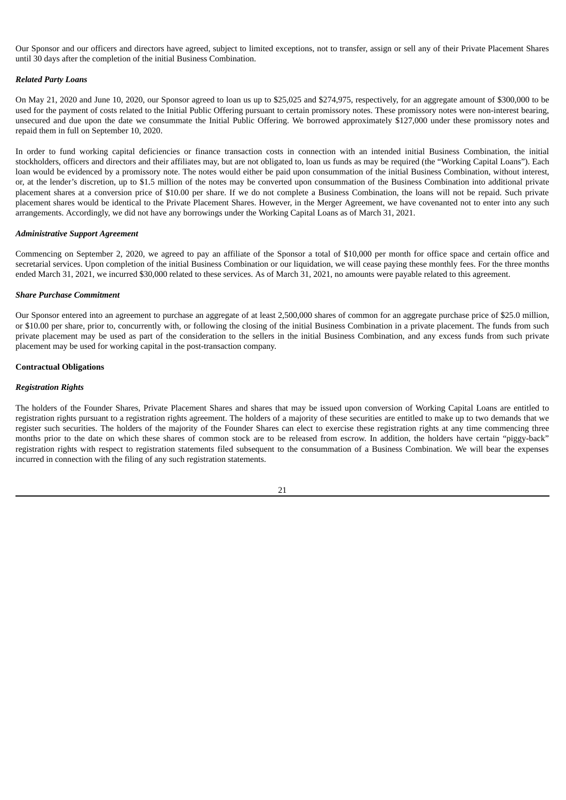Our Sponsor and our officers and directors have agreed, subject to limited exceptions, not to transfer, assign or sell any of their Private Placement Shares until 30 days after the completion of the initial Business Combination.

#### *Related Party Loans*

On May 21, 2020 and June 10, 2020, our Sponsor agreed to loan us up to \$25,025 and \$274,975, respectively, for an aggregate amount of \$300,000 to be used for the payment of costs related to the Initial Public Offering pursuant to certain promissory notes. These promissory notes were non-interest bearing, unsecured and due upon the date we consummate the Initial Public Offering. We borrowed approximately \$127,000 under these promissory notes and repaid them in full on September 10, 2020.

In order to fund working capital deficiencies or finance transaction costs in connection with an intended initial Business Combination, the initial stockholders, officers and directors and their affiliates may, but are not obligated to, loan us funds as may be required (the "Working Capital Loans"). Each loan would be evidenced by a promissory note. The notes would either be paid upon consummation of the initial Business Combination, without interest, or, at the lender's discretion, up to \$1.5 million of the notes may be converted upon consummation of the Business Combination into additional private placement shares at a conversion price of \$10.00 per share. If we do not complete a Business Combination, the loans will not be repaid. Such private placement shares would be identical to the Private Placement Shares. However, in the Merger Agreement, we have covenanted not to enter into any such arrangements. Accordingly, we did not have any borrowings under the Working Capital Loans as of March 31, 2021.

#### *Administrative Support Agreement*

Commencing on September 2, 2020, we agreed to pay an affiliate of the Sponsor a total of \$10,000 per month for office space and certain office and secretarial services. Upon completion of the initial Business Combination or our liquidation, we will cease paying these monthly fees. For the three months ended March 31, 2021, we incurred \$30,000 related to these services. As of March 31, 2021, no amounts were payable related to this agreement.

#### *Share Purchase Commitment*

Our Sponsor entered into an agreement to purchase an aggregate of at least 2,500,000 shares of common for an aggregate purchase price of \$25.0 million, or \$10.00 per share, prior to, concurrently with, or following the closing of the initial Business Combination in a private placement. The funds from such private placement may be used as part of the consideration to the sellers in the initial Business Combination, and any excess funds from such private placement may be used for working capital in the post-transaction company.

#### **Contractual Obligations**

#### *Registration Rights*

The holders of the Founder Shares, Private Placement Shares and shares that may be issued upon conversion of Working Capital Loans are entitled to registration rights pursuant to a registration rights agreement. The holders of a majority of these securities are entitled to make up to two demands that we register such securities. The holders of the majority of the Founder Shares can elect to exercise these registration rights at any time commencing three months prior to the date on which these shares of common stock are to be released from escrow. In addition, the holders have certain "piggy-back" registration rights with respect to registration statements filed subsequent to the consummation of a Business Combination. We will bear the expenses incurred in connection with the filing of any such registration statements.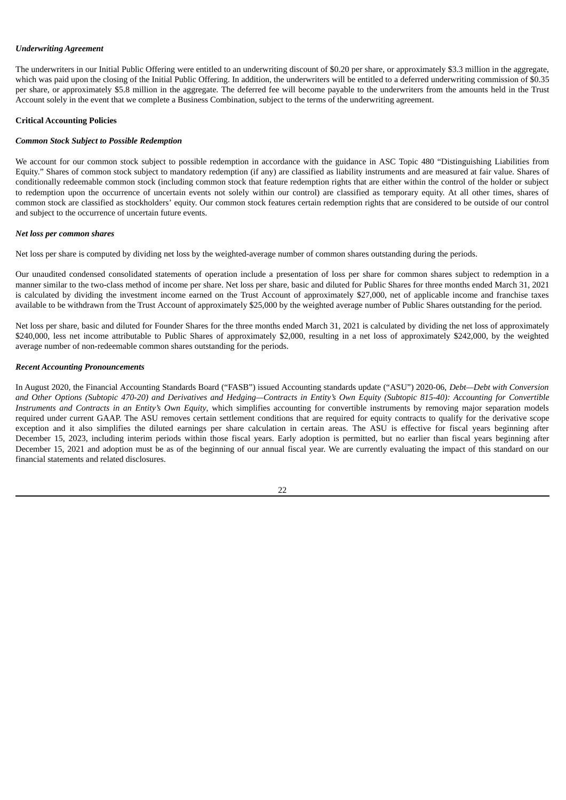### *Underwriting Agreement*

The underwriters in our Initial Public Offering were entitled to an underwriting discount of \$0.20 per share, or approximately \$3.3 million in the aggregate, which was paid upon the closing of the Initial Public Offering. In addition, the underwriters will be entitled to a deferred underwriting commission of \$0.35 per share, or approximately \$5.8 million in the aggregate. The deferred fee will become payable to the underwriters from the amounts held in the Trust Account solely in the event that we complete a Business Combination, subject to the terms of the underwriting agreement.

#### **Critical Accounting Policies**

#### *Common Stock Subject to Possible Redemption*

We account for our common stock subject to possible redemption in accordance with the guidance in ASC Topic 480 "Distinguishing Liabilities from Equity." Shares of common stock subject to mandatory redemption (if any) are classified as liability instruments and are measured at fair value. Shares of conditionally redeemable common stock (including common stock that feature redemption rights that are either within the control of the holder or subject to redemption upon the occurrence of uncertain events not solely within our control) are classified as temporary equity. At all other times, shares of common stock are classified as stockholders' equity. Our common stock features certain redemption rights that are considered to be outside of our control and subject to the occurrence of uncertain future events.

#### *Net loss per common shares*

Net loss per share is computed by dividing net loss by the weighted-average number of common shares outstanding during the periods.

Our unaudited condensed consolidated statements of operation include a presentation of loss per share for common shares subject to redemption in a manner similar to the two-class method of income per share. Net loss per share, basic and diluted for Public Shares for three months ended March 31, 2021 is calculated by dividing the investment income earned on the Trust Account of approximately \$27,000, net of applicable income and franchise taxes available to be withdrawn from the Trust Account of approximately \$25,000 by the weighted average number of Public Shares outstanding for the period.

Net loss per share, basic and diluted for Founder Shares for the three months ended March 31, 2021 is calculated by dividing the net loss of approximately \$240,000, less net income attributable to Public Shares of approximately \$2,000, resulting in a net loss of approximately \$242,000, by the weighted average number of non-redeemable common shares outstanding for the periods.

#### *Recent Accounting Pronouncements*

In August 2020, the Financial Accounting Standards Board ("FASB") issued Accounting standards update ("ASU") 2020-06, *Debt—Debt with Conversion* and Other Options (Subtopic 470-20) and Derivatives and Hedging-Contracts in Entity's Own Equity (Subtopic 815-40): Accounting for Convertible *Instruments and Contracts in an Entity's Own Equity*, which simplifies accounting for convertible instruments by removing major separation models required under current GAAP. The ASU removes certain settlement conditions that are required for equity contracts to qualify for the derivative scope exception and it also simplifies the diluted earnings per share calculation in certain areas. The ASU is effective for fiscal years beginning after December 15, 2023, including interim periods within those fiscal years. Early adoption is permitted, but no earlier than fiscal years beginning after December 15, 2021 and adoption must be as of the beginning of our annual fiscal year. We are currently evaluating the impact of this standard on our financial statements and related disclosures.

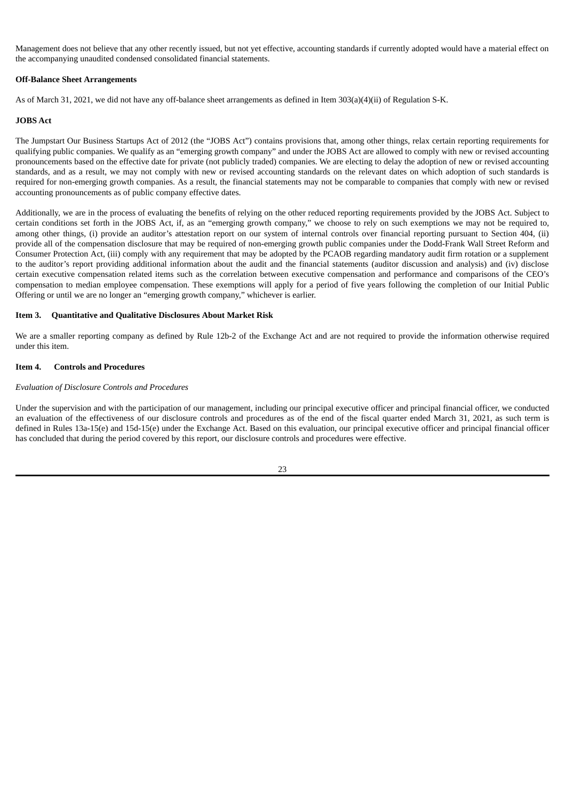Management does not believe that any other recently issued, but not yet effective, accounting standards if currently adopted would have a material effect on the accompanying unaudited condensed consolidated financial statements.

### **Off-Balance Sheet Arrangements**

As of March 31, 2021, we did not have any off-balance sheet arrangements as defined in Item 303(a)(4)(ii) of Regulation S-K.

#### **JOBS Act**

The Jumpstart Our Business Startups Act of 2012 (the "JOBS Act") contains provisions that, among other things, relax certain reporting requirements for qualifying public companies. We qualify as an "emerging growth company" and under the JOBS Act are allowed to comply with new or revised accounting pronouncements based on the effective date for private (not publicly traded) companies. We are electing to delay the adoption of new or revised accounting standards, and as a result, we may not comply with new or revised accounting standards on the relevant dates on which adoption of such standards is required for non-emerging growth companies. As a result, the financial statements may not be comparable to companies that comply with new or revised accounting pronouncements as of public company effective dates.

Additionally, we are in the process of evaluating the benefits of relying on the other reduced reporting requirements provided by the JOBS Act. Subject to certain conditions set forth in the JOBS Act, if, as an "emerging growth company," we choose to rely on such exemptions we may not be required to, among other things, (i) provide an auditor's attestation report on our system of internal controls over financial reporting pursuant to Section 404, (ii) provide all of the compensation disclosure that may be required of non-emerging growth public companies under the Dodd-Frank Wall Street Reform and Consumer Protection Act, (iii) comply with any requirement that may be adopted by the PCAOB regarding mandatory audit firm rotation or a supplement to the auditor's report providing additional information about the audit and the financial statements (auditor discussion and analysis) and (iv) disclose certain executive compensation related items such as the correlation between executive compensation and performance and comparisons of the CEO's compensation to median employee compensation. These exemptions will apply for a period of five years following the completion of our Initial Public Offering or until we are no longer an "emerging growth company," whichever is earlier.

#### <span id="page-24-0"></span>**Item 3. Quantitative and Qualitative Disclosures About Market Risk**

We are a smaller reporting company as defined by Rule 12b-2 of the Exchange Act and are not required to provide the information otherwise required under this item.

#### <span id="page-24-1"></span>**Item 4. Controls and Procedures**

#### *Evaluation of Disclosure Controls and Procedures*

Under the supervision and with the participation of our management, including our principal executive officer and principal financial officer, we conducted an evaluation of the effectiveness of our disclosure controls and procedures as of the end of the fiscal quarter ended March 31, 2021, as such term is defined in Rules 13a-15(e) and 15d-15(e) under the Exchange Act. Based on this evaluation, our principal executive officer and principal financial officer has concluded that during the period covered by this report, our disclosure controls and procedures were effective.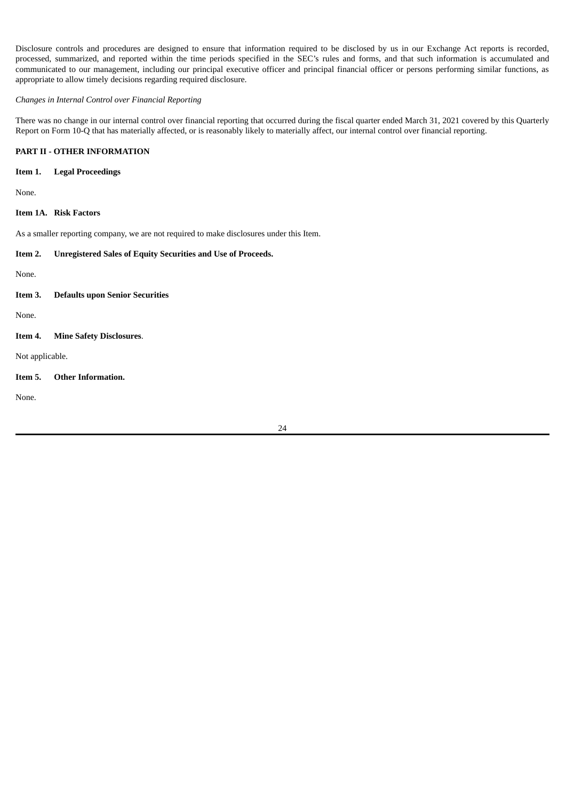Disclosure controls and procedures are designed to ensure that information required to be disclosed by us in our Exchange Act reports is recorded, processed, summarized, and reported within the time periods specified in the SEC's rules and forms, and that such information is accumulated and communicated to our management, including our principal executive officer and principal financial officer or persons performing similar functions, as appropriate to allow timely decisions regarding required disclosure.

## *Changes in Internal Control over Financial Reporting*

There was no change in our internal control over financial reporting that occurred during the fiscal quarter ended March 31, 2021 covered by this Quarterly Report on Form 10-Q that has materially affected, or is reasonably likely to materially affect, our internal control over financial reporting.

## <span id="page-25-0"></span>**PART II - OTHER INFORMATION**

### <span id="page-25-1"></span>**Item 1. Legal Proceedings**

None.

### <span id="page-25-2"></span>**Item 1A. Risk Factors**

As a smaller reporting company, we are not required to make disclosures under this Item.

#### <span id="page-25-3"></span>**Item 2. Unregistered Sales of Equity Securities and Use of Proceeds.**

None.

## <span id="page-25-4"></span>**Item 3. Defaults upon Senior Securities**

None.

<span id="page-25-5"></span>**Item 4. Mine Safety Disclosures**.

Not applicable.

<span id="page-25-6"></span>**Item 5. Other Information.**

None.

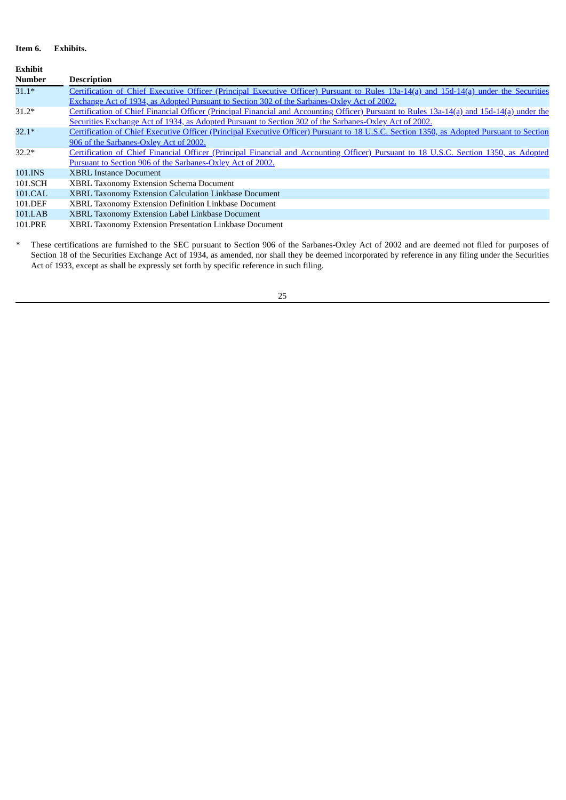## <span id="page-26-0"></span>**Item 6. Exhibits.**

| <b>Exhibit</b> |                                                                                                                                           |
|----------------|-------------------------------------------------------------------------------------------------------------------------------------------|
| <b>Number</b>  | <b>Description</b>                                                                                                                        |
| $31.1*$        | Certification of Chief Executive Officer (Principal Executive Officer) Pursuant to Rules 13a-14(a) and 15d-14(a) under the Securities     |
|                | Exchange Act of 1934, as Adopted Pursuant to Section 302 of the Sarbanes-Oxley Act of 2002.                                               |
| $31.2*$        | Certification of Chief Financial Officer (Principal Financial and Accounting Officer) Pursuant to Rules 13a-14(a) and 15d-14(a) under the |
|                | Securities Exchange Act of 1934, as Adopted Pursuant to Section 302 of the Sarbanes-Oxley Act of 2002.                                    |
| $32.1*$        | Certification of Chief Executive Officer (Principal Executive Officer) Pursuant to 18 U.S.C. Section 1350, as Adopted Pursuant to Section |
|                | 906 of the Sarbanes-Oxley Act of 2002.                                                                                                    |
| $32.2*$        | Certification of Chief Financial Officer (Principal Financial and Accounting Officer) Pursuant to 18 U.S.C. Section 1350, as Adopted      |
|                | Pursuant to Section 906 of the Sarbanes-Oxley Act of 2002.                                                                                |
| 101.INS        | <b>XBRL Instance Document</b>                                                                                                             |
| 101.SCH        | XBRL Taxonomy Extension Schema Document                                                                                                   |
| 101.CAL        | XBRL Taxonomy Extension Calculation Linkbase Document                                                                                     |
| 101.DEF        | XBRL Taxonomy Extension Definition Linkbase Document                                                                                      |
| 101.LAB        | XBRL Taxonomy Extension Label Linkbase Document                                                                                           |

101.PRE XBRL Taxonomy Extension Presentation Linkbase Document

*\** These certifications are furnished to the SEC pursuant to Section 906 of the Sarbanes-Oxley Act of 2002 and are deemed not filed for purposes of Section 18 of the Securities Exchange Act of 1934, as amended, nor shall they be deemed incorporated by reference in any filing under the Securities Act of 1933, except as shall be expressly set forth by specific reference in such filing.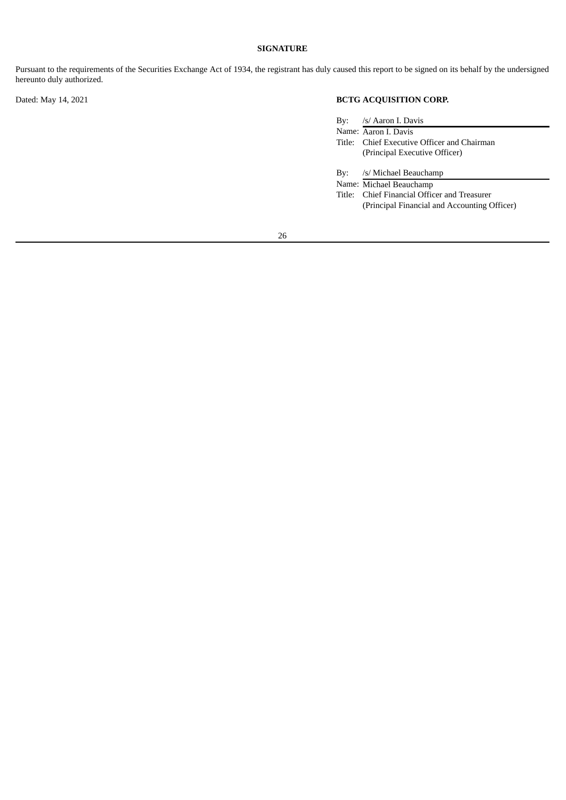## **SIGNATURE**

Pursuant to the requirements of the Securities Exchange Act of 1934, the registrant has duly caused this report to be signed on its behalf by the undersigned hereunto duly authorized.

# Dated: May 14, 2021 **BCTG ACQUISITION CORP.**

|     | By: /s/ Aaron I. Davis                      |
|-----|---------------------------------------------|
|     | Name: Aaron I. Davis                        |
|     | Title: Chief Executive Officer and Chairman |
|     | (Principal Executive Officer)               |
|     |                                             |
| Bv: | /s/ Michael Beauchamp                       |
|     | Name: Michael Beauchamp                     |

Title: Chief Financial Officer and Treasurer (Principal Financial and Accounting Officer)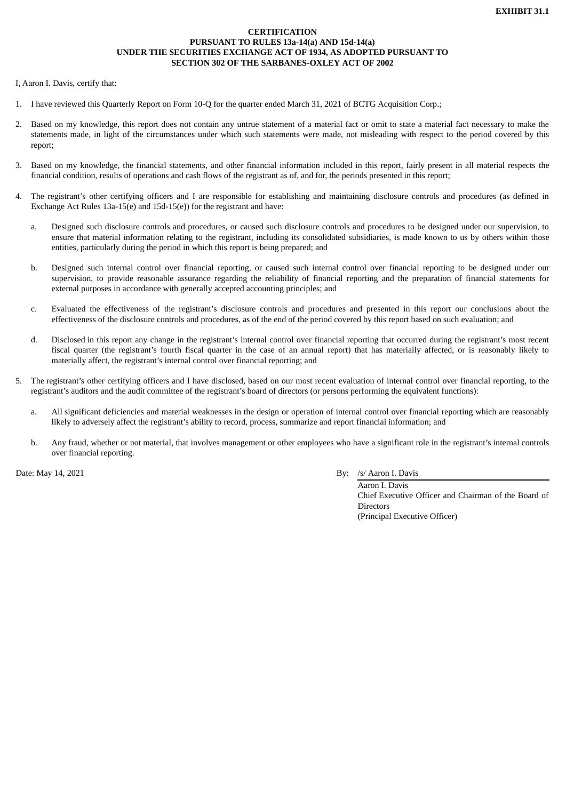## **CERTIFICATION PURSUANT TO RULES 13a-14(a) AND 15d-14(a) UNDER THE SECURITIES EXCHANGE ACT OF 1934, AS ADOPTED PURSUANT TO SECTION 302 OF THE SARBANES-OXLEY ACT OF 2002**

<span id="page-28-0"></span>I, Aaron I. Davis, certify that:

- 1. I have reviewed this Quarterly Report on Form 10-Q for the quarter ended March 31, 2021 of BCTG Acquisition Corp.;
- 2. Based on my knowledge, this report does not contain any untrue statement of a material fact or omit to state a material fact necessary to make the statements made, in light of the circumstances under which such statements were made, not misleading with respect to the period covered by this report;
- 3. Based on my knowledge, the financial statements, and other financial information included in this report, fairly present in all material respects the financial condition, results of operations and cash flows of the registrant as of, and for, the periods presented in this report;
- 4. The registrant's other certifying officers and I are responsible for establishing and maintaining disclosure controls and procedures (as defined in Exchange Act Rules 13a-15(e) and 15d-15(e)) for the registrant and have:
	- a. Designed such disclosure controls and procedures, or caused such disclosure controls and procedures to be designed under our supervision, to ensure that material information relating to the registrant, including its consolidated subsidiaries, is made known to us by others within those entities, particularly during the period in which this report is being prepared; and
	- b. Designed such internal control over financial reporting, or caused such internal control over financial reporting to be designed under our supervision, to provide reasonable assurance regarding the reliability of financial reporting and the preparation of financial statements for external purposes in accordance with generally accepted accounting principles; and
	- c. Evaluated the effectiveness of the registrant's disclosure controls and procedures and presented in this report our conclusions about the effectiveness of the disclosure controls and procedures, as of the end of the period covered by this report based on such evaluation; and
	- d. Disclosed in this report any change in the registrant's internal control over financial reporting that occurred during the registrant's most recent fiscal quarter (the registrant's fourth fiscal quarter in the case of an annual report) that has materially affected, or is reasonably likely to materially affect, the registrant's internal control over financial reporting; and
- 5. The registrant's other certifying officers and I have disclosed, based on our most recent evaluation of internal control over financial reporting, to the registrant's auditors and the audit committee of the registrant's board of directors (or persons performing the equivalent functions):
	- a. All significant deficiencies and material weaknesses in the design or operation of internal control over financial reporting which are reasonably likely to adversely affect the registrant's ability to record, process, summarize and report financial information; and
	- b. Any fraud, whether or not material, that involves management or other employees who have a significant role in the registrant's internal controls over financial reporting.

## Date: May 14, 2021 By: /s/ Aaron I. Davis

Aaron I. Davis Chief Executive Officer and Chairman of the Board of **Directors** (Principal Executive Officer)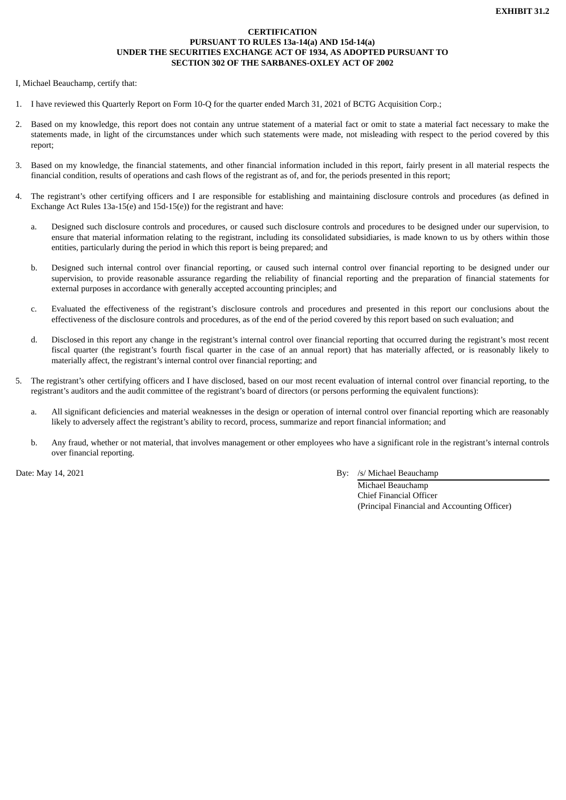## **CERTIFICATION PURSUANT TO RULES 13a-14(a) AND 15d-14(a) UNDER THE SECURITIES EXCHANGE ACT OF 1934, AS ADOPTED PURSUANT TO SECTION 302 OF THE SARBANES-OXLEY ACT OF 2002**

<span id="page-29-0"></span>I, Michael Beauchamp, certify that:

- 1. I have reviewed this Quarterly Report on Form 10-Q for the quarter ended March 31, 2021 of BCTG Acquisition Corp.;
- 2. Based on my knowledge, this report does not contain any untrue statement of a material fact or omit to state a material fact necessary to make the statements made, in light of the circumstances under which such statements were made, not misleading with respect to the period covered by this report;
- 3. Based on my knowledge, the financial statements, and other financial information included in this report, fairly present in all material respects the financial condition, results of operations and cash flows of the registrant as of, and for, the periods presented in this report;
- 4. The registrant's other certifying officers and I are responsible for establishing and maintaining disclosure controls and procedures (as defined in Exchange Act Rules 13a-15(e) and 15d-15(e)) for the registrant and have:
	- a. Designed such disclosure controls and procedures, or caused such disclosure controls and procedures to be designed under our supervision, to ensure that material information relating to the registrant, including its consolidated subsidiaries, is made known to us by others within those entities, particularly during the period in which this report is being prepared; and
	- b. Designed such internal control over financial reporting, or caused such internal control over financial reporting to be designed under our supervision, to provide reasonable assurance regarding the reliability of financial reporting and the preparation of financial statements for external purposes in accordance with generally accepted accounting principles; and
	- c. Evaluated the effectiveness of the registrant's disclosure controls and procedures and presented in this report our conclusions about the effectiveness of the disclosure controls and procedures, as of the end of the period covered by this report based on such evaluation; and
	- d. Disclosed in this report any change in the registrant's internal control over financial reporting that occurred during the registrant's most recent fiscal quarter (the registrant's fourth fiscal quarter in the case of an annual report) that has materially affected, or is reasonably likely to materially affect, the registrant's internal control over financial reporting; and
- 5. The registrant's other certifying officers and I have disclosed, based on our most recent evaluation of internal control over financial reporting, to the registrant's auditors and the audit committee of the registrant's board of directors (or persons performing the equivalent functions):
	- a. All significant deficiencies and material weaknesses in the design or operation of internal control over financial reporting which are reasonably likely to adversely affect the registrant's ability to record, process, summarize and report financial information; and
	- b. Any fraud, whether or not material, that involves management or other employees who have a significant role in the registrant's internal controls over financial reporting.

Date: May 14, 2021 By: /s/ Michael Beauchamp

Michael Beauchamp Chief Financial Officer (Principal Financial and Accounting Officer)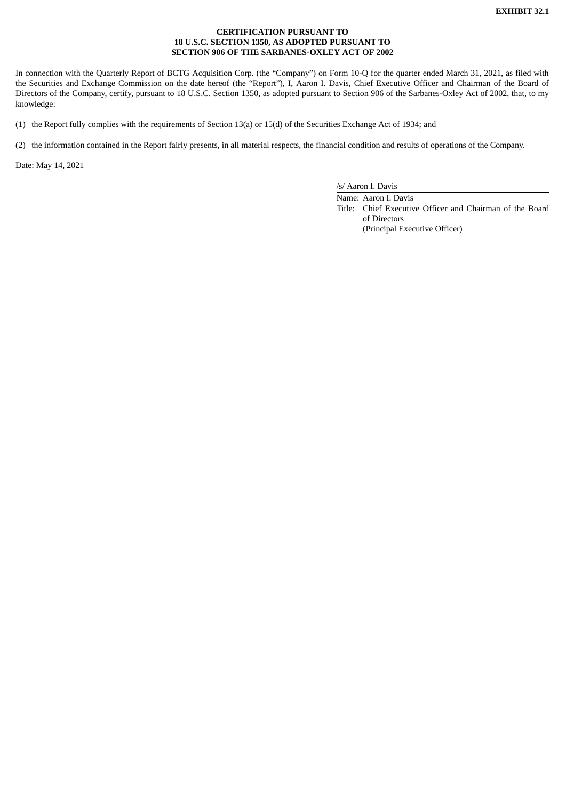## **CERTIFICATION PURSUANT TO 18 U.S.C. SECTION 1350, AS ADOPTED PURSUANT TO SECTION 906 OF THE SARBANES-OXLEY ACT OF 2002**

<span id="page-30-0"></span>In connection with the Quarterly Report of BCTG Acquisition Corp. (the "Company") on Form 10-Q for the quarter ended March 31, 2021, as filed with the Securities and Exchange Commission on the date hereof (the "Report"), I, Aaron I. Davis, Chief Executive Officer and Chairman of the Board of Directors of the Company, certify, pursuant to 18 U.S.C. Section 1350, as adopted pursuant to Section 906 of the Sarbanes-Oxley Act of 2002, that, to my knowledge:

(1) the Report fully complies with the requirements of Section 13(a) or 15(d) of the Securities Exchange Act of 1934; and

(2) the information contained in the Report fairly presents, in all material respects, the financial condition and results of operations of the Company.

Date: May 14, 2021

/s/ Aaron I. Davis

Name: Aaron I. Davis Title: Chief Executive Officer and Chairman of the Board of Directors (Principal Executive Officer)